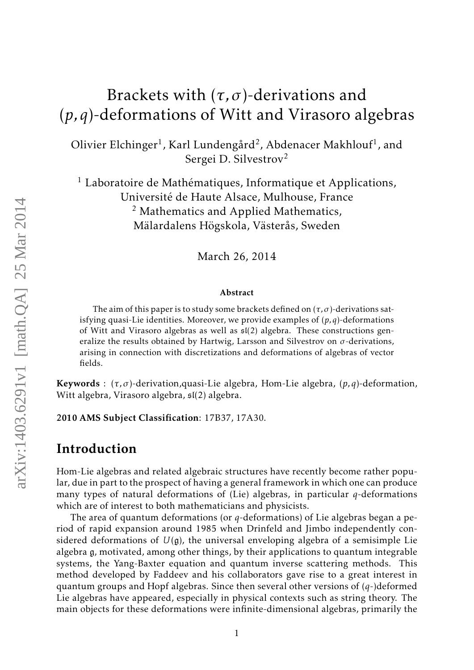# Brackets with  $(\tau, \sigma)$ -derivations and (*p,q*)-deformations of Witt and Virasoro algebras

Olivier Elchinger $^1$ , Karl Lundengård $^2$ , Abdenacer Makhlouf $^1$ , and Sergei D. Silvestrov<sup>2</sup>

<sup>1</sup> Laboratoire de Mathématiques, Informatique et Applications, Université de Haute Alsace, Mulhouse, France  $<sup>2</sup>$  Mathematics and Applied Mathematics,</sup> Mälardalens Högskola, Västerås, Sweden

March 26, 2014

#### Abstract

The aim of this paper is to study some brackets defined on  $(\tau, \sigma)$ -derivations satisfying quasi-Lie identities. Moreover, we provide examples of (*p,q*)-deformations of Witt and Virasoro algebras as well as sl(2) algebra. These constructions generalize the results obtained by Hartwig, Larsson and Silvestrov on *σ*-derivations, arising in connection with discretizations and deformations of algebras of vector fields.

Keywords : (*τ, σ*)-derivation,quasi-Lie algebra, Hom-Lie algebra, (*p,q*)-deformation, Witt algebra, Virasoro algebra, sl(2) algebra.

2010 AMS Subject Classification: 17B37, 17A30.

### Introduction

Hom-Lie algebras and related algebraic structures have recently become rather popular, due in part to the prospect of having a general framework in which one can produce many types of natural deformations of (Lie) algebras, in particular *q*-deformations which are of interest to both mathematicians and physicists.

The area of quantum deformations (or *q*-deformations) of Lie algebras began a period of rapid expansion around 1985 when Drinfeld and Jimbo independently considered deformations of  $U(\mathfrak{g})$ , the universal enveloping algebra of a semisimple Lie algebra g, motivated, among other things, by their applications to quantum integrable systems, the Yang-Baxter equation and quantum inverse scattering methods. This method developed by Faddeev and his collaborators gave rise to a great interest in quantum groups and Hopf algebras. Since then several other versions of (*q*-)deformed Lie algebras have appeared, especially in physical contexts such as string theory. The main objects for these deformations were infinite-dimensional algebras, primarily the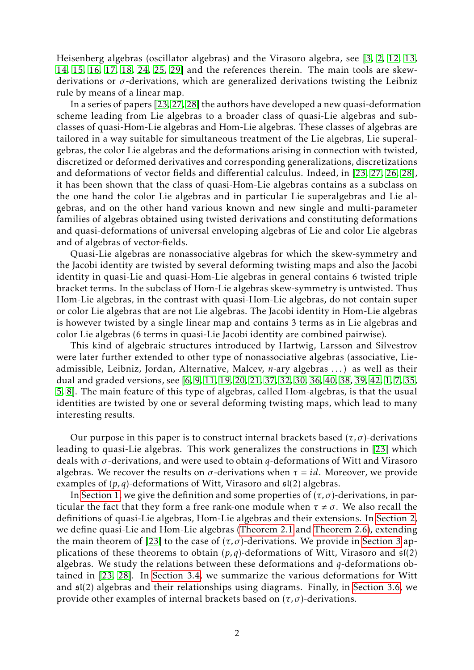<span id="page-1-0"></span>Heisenberg algebras (oscillator algebras) and the Virasoro algebra, see [\[3,](#page-26-0) [2,](#page-26-1) [12,](#page-27-0) [13,](#page-27-1) [14,](#page-27-2) [15,](#page-27-3) [16,](#page-27-4) [17,](#page-27-5) [18,](#page-27-6) [24,](#page-28-0) [25,](#page-28-1) [29\]](#page-28-2) and the references therein. The main tools are skewderivations or *σ*-derivations, which are generalized derivations twisting the Leibniz rule by means of a linear map.

In a series of papers [\[23,](#page-28-3) [27,](#page-28-4) [28\]](#page-28-5) the authors have developed a new quasi-deformation scheme leading from Lie algebras to a broader class of quasi-Lie algebras and subclasses of quasi-Hom-Lie algebras and Hom-Lie algebras. These classes of algebras are tailored in a way suitable for simultaneous treatment of the Lie algebras, Lie superalgebras, the color Lie algebras and the deformations arising in connection with twisted, discretized or deformed derivatives and corresponding generalizations, discretizations and deformations of vector fields and differential calculus. Indeed, in [\[23,](#page-28-3) [27,](#page-28-4) [26,](#page-28-6) [28\]](#page-28-5), it has been shown that the class of quasi-Hom-Lie algebras contains as a subclass on the one hand the color Lie algebras and in particular Lie superalgebras and Lie algebras, and on the other hand various known and new single and multi-parameter families of algebras obtained using twisted derivations and constituting deformations and quasi-deformations of universal enveloping algebras of Lie and color Lie algebras and of algebras of vector-fields.

Quasi-Lie algebras are nonassociative algebras for which the skew-symmetry and the Jacobi identity are twisted by several deforming twisting maps and also the Jacobi identity in quasi-Lie and quasi-Hom-Lie algebras in general contains 6 twisted triple bracket terms. In the subclass of Hom-Lie algebras skew-symmetry is untwisted. Thus Hom-Lie algebras, in the contrast with quasi-Hom-Lie algebras, do not contain super or color Lie algebras that are not Lie algebras. The Jacobi identity in Hom-Lie algebras is however twisted by a single linear map and contains 3 terms as in Lie algebras and color Lie algebras (6 terms in quasi-Lie Jacobi identity are combined pairwise).

This kind of algebraic structures introduced by Hartwig, Larsson and Silvestrov were later further extended to other type of nonassociative algebras (associative, Lieadmissible, Leibniz, Jordan, Alternative, Malcev, *n*-ary algebras . . . ) as well as their dual and graded versions, see [\[6,](#page-27-7) [9,](#page-27-8) [11,](#page-27-9) [19,](#page-27-10) [20,](#page-28-7) [21,](#page-28-8) [37,](#page-29-0) [32,](#page-28-9) [30,](#page-28-10) [36,](#page-29-1) [40,](#page-29-2) [38,](#page-29-3) [39,](#page-29-4) [42,](#page-29-5) [1,](#page-26-2) [7,](#page-27-11) [35,](#page-29-6) [5,](#page-27-12) [8\]](#page-27-13). The main feature of this type of algebras, called Hom-algebras, is that the usual identities are twisted by one or several deforming twisting maps, which lead to many interesting results.

Our purpose in this paper is to construct internal brackets based  $(\tau, \sigma)$ -derivations leading to quasi-Lie algebras. This work generalizes the constructions in [\[23\]](#page-28-3) which deals with *σ*-derivations, and were used to obtain *q*-deformations of Witt and Virasoro algebras. We recover the results on  $\sigma$ -derivations when  $\tau = id$ . Moreover, we provide examples of (*p,q*)-deformations of Witt, Virasoro and sl(2) algebras.

In [Section 1,](#page-2-0) we give the definition and some properties of  $(\tau, \sigma)$ -derivations, in particular the fact that they form a free rank-one module when  $\tau \neq \sigma$ . We also recall the definitions of quasi-Lie algebras, Hom-Lie algebras and their extensions. In [Section 2,](#page-8-0) we define quasi-Lie and Hom-Lie algebras [\(Theorem 2.1](#page-8-1) and [Theorem 2.6\)](#page-13-0), extending the main theorem of [\[23\]](#page-28-3) to the case of  $(\tau, \sigma)$ -derivations. We provide in [Section 3](#page-14-0) applications of these theorems to obtain  $(p,q)$ -deformations of Witt, Virasoro and  $\mathfrak{sl}(2)$ algebras. We study the relations between these deformations and *q*-deformations obtained in [\[23,](#page-28-3) [28\]](#page-28-5). In [Section 3.4,](#page-23-0) we summarize the various deformations for Witt and sl(2) algebras and their relationships using diagrams. Finally, in [Section 3.6,](#page-24-0) we provide other examples of internal brackets based on  $(\tau, \sigma)$ -derivations.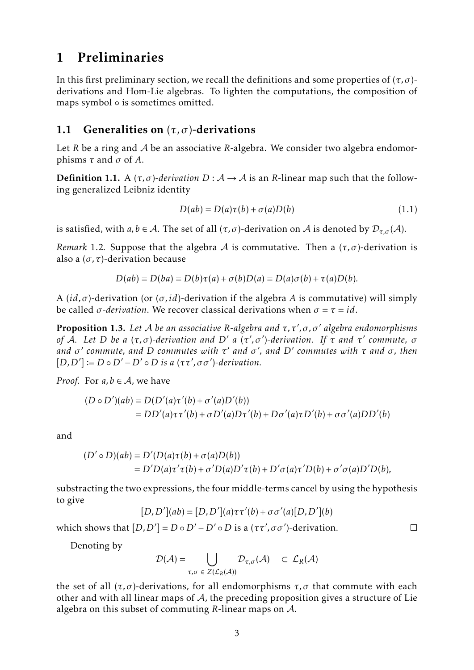## <span id="page-2-0"></span>1 Preliminaries

In this first preliminary section, we recall the definitions and some properties of  $(\tau, \sigma)$ derivations and Hom-Lie algebras. To lighten the computations, the composition of maps symbol ∘ is sometimes omitted.

#### 1.1 Generalities on (*τ, σ*)-derivations

Let *R* be a ring and A be an associative *R*-algebra. We consider two algebra endomorphisms *τ* and *σ* of *A*.

**Definition 1.1.** A  $(\tau, \sigma)$ -derivation  $D : A \rightarrow A$  is an *R*-linear map such that the following generalized Leibniz identity

$$
D(ab) = D(a)\tau(b) + \sigma(a)D(b)
$$
\n(1.1)

 $\Box$ 

is satisfied, with  $a, b \in A$ . The set of all  $(\tau, \sigma)$ -derivation on A is denoted by  $\mathcal{D}_{\tau, \sigma}(A)$ .

*Remark* 1.2. Suppose that the algebra A is commutative. Then a  $(\tau, \sigma)$ -derivation is also a (*σ,τ*)-derivation because

$$
D(ab) = D(ba) = D(b)\tau(a) + \sigma(b)D(a) = D(a)\sigma(b) + \tau(a)D(b).
$$

A (*id, σ*)-derivation (or (*σ, id*)-derivation if the algebra *A* is commutative) will simply be called *σ-derivation*. We recover classical derivations when *σ* = *τ* = *id*.

**Proposition 1.3.** Let *A* be an associative R-algebra and τ,τ',σ,σ' algebra endomorphisms *of*  $\overline{A}$ *. Let D be a* (τ,σ)-derivation and *D' a* (τ',σ')-derivation. If  $\overline{r}$  and τ' commute, o *and σ* 0 *commute, and D commutes with τ* <sup>0</sup> *and σ* 0 *, and D*<sup>0</sup> *commutes with τ and σ, then*  $[D, D'] := D \circ D' - D' \circ D$  *is a*  $(\tau \tau', \sigma \sigma')$ -derivation.

*Proof.* For  $a, b \in A$ , we have

$$
(D \circ D')(ab) = D(D'(a)\tau'(b) + \sigma'(a)D'(b))
$$
  
= 
$$
DD'(a)\tau\tau'(b) + \sigma D'(a)D\tau'(b) + D\sigma'(a)\tau D'(b) + \sigma\sigma'(a)DD'(b)
$$

and

$$
(D' \circ D)(ab) = D'(D(a)\tau(b) + \sigma(a)D(b))
$$
  
= D'D(a)\tau'\tau(b) + \sigma'D(a)D'\tau(b) + D'\sigma(a)\tau'D(b) + \sigma'\sigma(a)D'D(b),

substracting the two expressions, the four middle-terms cancel by using the hypothesis to give

$$
[D, D'](ab) = [D, D'](a)\tau\tau'(b) + \sigma\sigma'(a)[D, D'](b)
$$

which shows that  $[D, D'] = D \circ D' - D' \circ D$  is a  $(\tau \tau', \sigma \sigma')$ -derivation.

Denoting by

$$
\mathcal{D}(\mathcal{A}) = \bigcup_{\tau,\sigma \in Z(\mathcal{L}_R(\mathcal{A}))} \mathcal{D}_{\tau,\sigma}(\mathcal{A}) \subset \mathcal{L}_R(\mathcal{A})
$$

the set of all  $(τ, σ)$ -derivations, for all endomorphisms  $τ, σ$  that commute with each other and with all linear maps of  $A$ , the preceding proposition gives a structure of Lie algebra on this subset of commuting *R*-linear maps on A.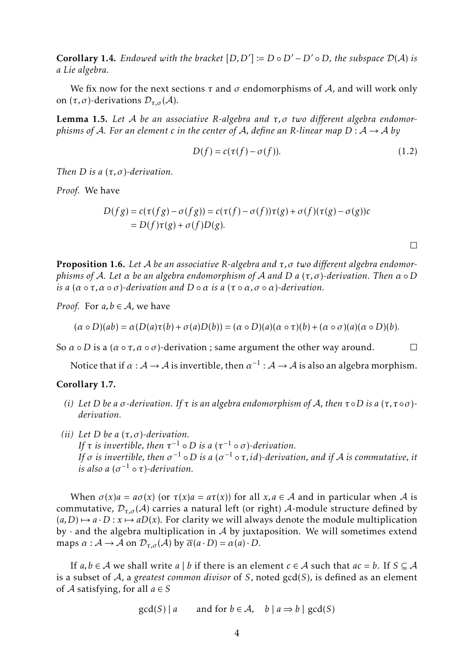**Corollary 1.4.** Endowed with the bracket  $[D, D'] := D \circ D' - D' \circ D$ , the subspace  $D(A)$  is *a Lie algebra.*

We fix now for the next sections  $\tau$  and  $\sigma$  endomorphisms of A, and will work only on  $(τ, σ)$ -derivations  $D_{τ, σ}(A)$ .

<span id="page-3-0"></span>Lemma 1.5. *Let* A *be an associative R-algebra and τ, σ two different algebra endomorphisms of* A. For an element *c* in the center of A, define an R-linear map  $D: A \rightarrow A$  by

$$
D(f) = c(\tau(f) - \sigma(f)).
$$
\n(1.2)

 $\Box$ 

 $\Box$ 

*Then D is a* (*τ, σ*)*-derivation.*

*Proof.* We have

$$
D(f g) = c(\tau(f g) - \sigma(f g)) = c(\tau(f) - \sigma(f))\tau(g) + \sigma(f)(\tau(g) - \sigma(g))c
$$
  
= 
$$
D(f)\tau(g) + \sigma(f)D(g).
$$

Proposition 1.6. *Let* A *be an associative R-algebra and τ, σ two different algebra endomorphisms of* A*. Let α be an algebra endomorphism of* A *and D a* (*τ, σ*)*-derivation. Then α* ◦*D is a*  $(\alpha \circ \tau, \alpha \circ \sigma)$ -derivation and  $D \circ \alpha$  *is a*  $(\tau \circ \alpha, \sigma \circ \alpha)$ -derivation.

*Proof.* For  $a, b \in A$ , we have

$$
(\alpha \circ D)(ab) = \alpha(D(a)\tau(b) + \sigma(a)D(b)) = (\alpha \circ D)(a)(\alpha \circ \tau)(b) + (\alpha \circ \sigma)(a)(\alpha \circ D)(b).
$$

So  $\alpha \circ D$  is a ( $\alpha \circ \tau$ ,  $\alpha \circ \sigma$ )-derivation; same argument the other way around.

Notice that if  $\alpha : A \to A$  is invertible, then  $\alpha^{-1} : A \to A$  is also an algebra morphism.

#### <span id="page-3-1"></span>Corollary 1.7.

- *(i) Let D be a σ-derivation. If τ is an algebra endomorphism of* A*, then τ* ◦*D is a* (*τ,τ* ◦*σ*) *derivation.*
- *(ii) Let D be a* (*τ, σ*)*-derivation. If*  $\tau$  *is invertible, then*  $\tau^{-1} \circ D$  *is a*  $(\tau^{-1} \circ \sigma)$ -derivation. *If*  $\sigma$  *is invertible, then*  $\sigma^{-1} \circ D$  *is a* ( $\sigma^{-1} \circ \tau$ , *id*)-derivation, and if A is commutative, it  $\int$ *is also a* ( $\sigma^{-1} \circ \tau$ )-derivation.

When  $\sigma(x)a = a\sigma(x)$  (or  $\tau(x)a = a\tau(x)$ ) for all  $x, a \in A$  and in particular when A is commutative,  $\mathcal{D}_{\tau,\sigma}(\mathcal{A})$  carries a natural left (or right)  $\mathcal{A}$ -module structure defined by  $(a, D) \mapsto a \cdot D : x \mapsto aD(x)$ . For clarity we will always denote the module multiplication by  $\cdot$  and the algebra multiplication in A by juxtaposition. We will sometimes extend maps  $\alpha : A \to A$  on  $\mathcal{D}_{\tau, \sigma}(A)$  by  $\overline{\alpha}(a \cdot D) = \alpha(a) \cdot D$ .

If  $a, b \in A$  we shall write  $a \mid b$  if there is an element  $c \in A$  such that  $ac = b$ . If  $S \subseteq A$ is a subset of A, a *greatest common divisor* of *S*, noted gcd(*S*), is defined as an element of *A* satisfying, for all  $a \in S$ 

 $gcd(S) | a$  and for  $b \in A$ ,  $b | a \Rightarrow b | gcd(S)$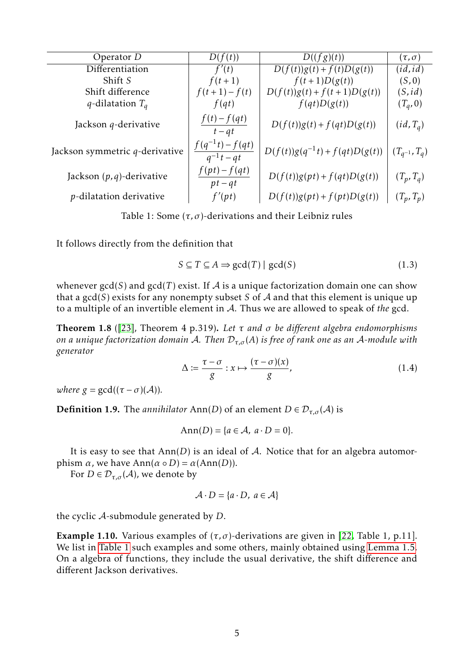<span id="page-4-3"></span>

| Operator $D$                    | D(f(t))                                | D((fg)(t))                         | $(\tau,\sigma)$     |
|---------------------------------|----------------------------------------|------------------------------------|---------------------|
| Differentiation                 | f'(t)                                  | $D(f(t))g(t) + f(t)D(g(t))$        | (id, id)            |
| Shift S                         | $f(t+1)$                               | $f(t+1)D(g(t))$                    | (S, 0)              |
| Shift difference                | $f(t+1) - f(t)$                        | $D(f(t))g(t) + f(t+1)D(g(t))$      | (S, id)             |
| $q$ -dilatation $T_q$           | f(qt)                                  | f(qt)D(g(t))                       | $(T_q, 0)$          |
| Jackson $q$ -derivative         | $f(t)-f(qt)$<br>$t - qt$               | $D(f(t))g(t) + f(qt)D(g(t))$       | $(id, T_a)$         |
| Jackson symmetric q-derivative  | $f(q^{-1}t) - f(qt)$<br>$q^{-1}t - qt$ | $D(f(t))g(q^{-1}t) + f(qt)D(g(t))$ | $(T_{q^{-1}}, T_q)$ |
| Jackson $(p, q)$ -derivative    | $f(pt) - f(qt)$<br>$pt-qt$             | $D(f(t))g(pt) + f(qt)D(g(t))$      | $(T_p, T_q)$        |
| <i>p</i> -dilatation derivative | f'(pt)                                 | $D(f(t))g(pt) + f(pt)D(g(t))$      | $(T_p, T_p)$        |
|                                 |                                        |                                    |                     |

<span id="page-4-0"></span>Table 1: Some  $(\tau, \sigma)$ -derivations and their Leibniz rules

It follows directly from the definition that

<span id="page-4-2"></span>
$$
S \subseteq T \subseteq A \Rightarrow \gcd(T) \mid \gcd(S) \tag{1.3}
$$

whenever  $gcd(S)$  and  $gcd(T)$  exist. If A is a unique factorization domain one can show that a gcd(*S*) exists for any nonempty subset *S* of A and that this element is unique up to a multiple of an invertible element in A. Thus we are allowed to speak of *the* gcd.

<span id="page-4-1"></span>Theorem 1.8 ([\[23\]](#page-28-3), Theorem 4 p.319). *Let τ and σ be different algebra endomorphisms on a unique factorization domain* A*. Then* D*τ,σ* (*A*) *is free of rank one as an* A*-module with generator*

$$
\Delta := \frac{\tau - \sigma}{g} : x \mapsto \frac{(\tau - \sigma)(x)}{g},\tag{1.4}
$$

*where*  $g = \gcd((\tau - \sigma)(\mathcal{A}))$ *.* 

**Definition 1.9.** The *annihilator* Ann(*D*) of an element  $D \in \mathcal{D}_{\tau,\sigma}(\mathcal{A})$  is

$$
Ann(D) = \{a \in \mathcal{A}, a \cdot D = 0\}.
$$

It is easy to see that  $Ann(D)$  is an ideal of  $A$ . Notice that for an algebra automorphism  $\alpha$ , we have  $Ann(\alpha \circ D) = \alpha(Ann(D)).$ 

For  $D \in \mathcal{D}_{\tau,\sigma}(\mathcal{A})$ , we denote by

$$
\mathcal{A} \cdot D = \{a \cdot D, \ a \in \mathcal{A}\}
$$

the cyclic A-submodule generated by *D*.

Example 1.10. Various examples of  $(\tau, \sigma)$ -derivations are given in [\[22,](#page-28-11) Table 1, p.11]. We list in [Table 1](#page-4-0) such examples and some others, mainly obtained using [Lemma 1.5.](#page-3-0) On a algebra of functions, they include the usual derivative, the shift difference and different Jackson derivatives.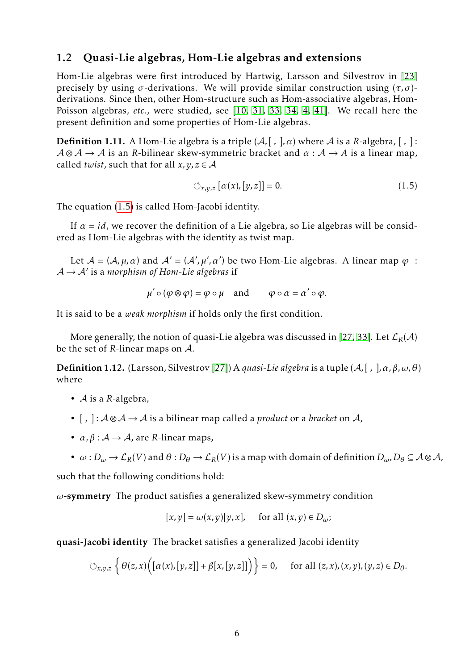#### <span id="page-5-1"></span>1.2 Quasi-Lie algebras, Hom-Lie algebras and extensions

Hom-Lie algebras were first introduced by Hartwig, Larsson and Silvestrov in [\[23\]](#page-28-3) precisely by using  $\sigma$ -derivations. We will provide similar construction using  $(\tau, \sigma)$ derivations. Since then, other Hom-structure such as Hom-associative algebras, Hom-Poisson algebras, *etc.*, were studied, see [\[10,](#page-27-14) [31,](#page-28-12) [33,](#page-28-13) [34,](#page-28-14) [4,](#page-26-3) [41\]](#page-29-7). We recall here the present definition and some properties of Hom-Lie algebras.

**Definition 1.11.** A Hom-Lie algebra is a triple  $(A, [ , ], \alpha)$  where A is a R-algebra,  $[, ]$ :  $A \otimes A \rightarrow A$  is an *R*-bilinear skew-symmetric bracket and  $\alpha : A \rightarrow A$  is a linear map, called *twist*, such that for all  $x, y, z \in A$ 

<span id="page-5-0"></span>
$$
\circlearrowleft_{x,y,z} [\alpha(x), [y,z]] = 0. \tag{1.5}
$$

The equation [\(1.5\)](#page-5-0) is called Hom-Jacobi identity.

If  $\alpha = id$ , we recover the definition of a Lie algebra, so Lie algebras will be considered as Hom-Lie algebras with the identity as twist map.

Let  $A = (A, \mu, \alpha)$  and  $A' = (A', \mu', \alpha')$  be two Hom-Lie algebras. A linear map  $\varphi$ : A → A<sup>0</sup> is a *morphism of Hom-Lie algebras* if

$$
\mu' \circ (\varphi \otimes \varphi) = \varphi \circ \mu \quad \text{and} \quad \varphi \circ \alpha = \alpha' \circ \varphi.
$$

It is said to be a *weak morphism* if holds only the first condition.

More generally, the notion of quasi-Lie algebra was discussed in [\[27,](#page-28-4) [33\]](#page-28-13). Let  $\mathcal{L}_R(\mathcal{A})$ be the set of *R*-linear maps on A.

Definition 1.12. (Larsson, Silvestrov [\[27\]](#page-28-4)) A *quasi-Lie algebra* is a tuple (A*,*[ *,* ]*,α, β,ω,θ*) where

- A is a *R*-algebra,
- [ *,* ] : A ⊗ A → A is a bilinear map called a *product* or a *bracket* on A,
- $\alpha$ ,  $\beta$  :  $A \rightarrow A$ , are *R*-linear maps,
- $\omega: D_{\omega} \to \mathcal{L}_R(V)$  and  $\theta: D_{\theta} \to \mathcal{L}_R(V)$  is a map with domain of definition  $D_{\omega}, D_{\theta} \subseteq A \otimes A$ ,

such that the following conditions hold:

*ω*-symmetry The product satisfies a generalized skew-symmetry condition

$$
[x, y] = \omega(x, y)[y, x], \quad \text{for all } (x, y) \in D_{\omega};
$$

quasi-Jacobi identity The bracket satisfies a generalized Jacobi identity

$$
\circlearrowleft_{x,y,z}\left\{\theta(z,x)\Big([\alpha(x),[y,z]]+\beta[x,[y,z]]\Big)\right\}=0,\quad \text{ for all }(z,x),(x,y),(y,z)\in D_{\theta}.
$$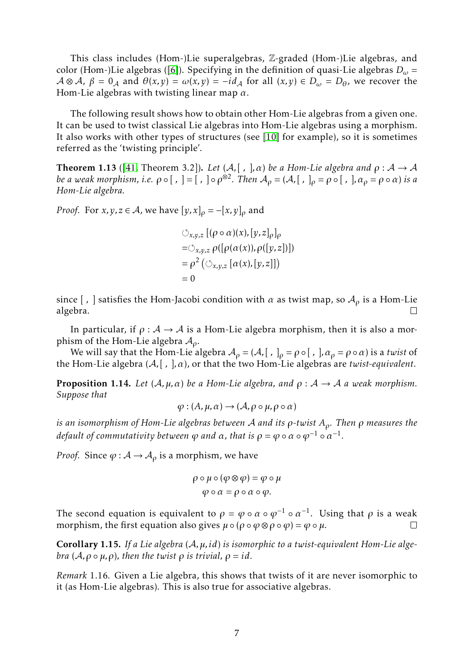<span id="page-6-1"></span>This class includes (Hom-)Lie superalgebras, Z-graded (Hom-)Lie algebras, and color (Hom-)Lie algebras ([\[6\]](#page-27-7)). Specifying in the definition of quasi-Lie algebras *D<sup>ω</sup>* =  $A \otimes A$ ,  $\beta = 0_A$  and  $\theta(x, y) = \omega(x, y) = -id_A$  for all  $(x, y) \in D_\omega = D_\theta$ , we recover the Hom-Lie algebras with twisting linear map *α*.

The following result shows how to obtain other Hom-Lie algebras from a given one. It can be used to twist classical Lie algebras into Hom-Lie algebras using a morphism. It also works with other types of structures (see [\[10\]](#page-27-14) for example), so it is sometimes referred as the 'twisting principle'.

<span id="page-6-0"></span>**Theorem 1.13** ([\[41,](#page-29-7) Theorem 3.2]). Let  $(A, [ , ], \alpha)$  be a Hom-Lie algebra and  $\rho : A \rightarrow A$ *be a weak morphism, i.e.*  $\rho \circ [$ ,  $] = [$ ,  $] \circ \rho^{\otimes 2}$ . Then  $A_{\rho} = (A, [$ ,  $]_{\rho} = \rho \circ [$ ,  $]$ ,  $\alpha_{\rho} = \rho \circ \alpha$ ) *is a Hom-Lie algebra.*

*Proof.* For *x*, *y*, *z*  $\in$  *A*, we have  $[y, x]_0 = -[x, y]_0$  and

$$
\bigcirc_{x,y,z} [(\rho \circ \alpha)(x), [y,z]_{\rho}]_{\rho}
$$
  
= $\bigcirc_{x,y,z} \rho ([\rho(\alpha(x)), \rho([y,z])])$   
= $\rho^2 (\bigcirc_{x,y,z} [\alpha(x), [y,z]])$   
= 0

since [, ] satisfies the Hom-Jacobi condition with  $\alpha$  as twist map, so  $A_{\rho}$  is a Hom-Lie algebra.

In particular, if  $\rho : A \rightarrow A$  is a Hom-Lie algebra morphism, then it is also a morphism of the Hom-Lie algebra A*ρ*.

We will say that the Hom-Lie algebra  $A_\rho = (A, [ , ]_\rho = \rho \circ [ , ]$ ,  $\alpha_\rho = \rho \circ \alpha)$  is a *twist* of the Hom-Lie algebra (A*,*[ *,* ]*,α*), or that the two Hom-Lie algebras are *twist-equivalent*.

**Proposition 1.14.** *Let*  $(A, \mu, \alpha)$  *be a Hom-Lie algebra, and*  $\rho : A \rightarrow A$  *a weak morphism. Suppose that*

$$
\varphi: (A, \mu, \alpha) \to (A, \rho \circ \mu, \rho \circ \alpha)
$$

*is an isomorphism of Hom-Lie algebras between* A *and its ρ-twist Aρ. Then ρ measures the default of commutativity between*  $\phi$  *<i>and*  $\alpha$ *, that is*  $\rho = \phi \circ \alpha \circ \phi^{-1} \circ \alpha^{-1}$ .

*Proof.* Since  $\varphi : A \to A_\rho$  is a morphism, we have

$$
\rho \circ \mu \circ (\varphi \otimes \varphi) = \varphi \circ \mu
$$

$$
\varphi \circ \alpha = \rho \circ \alpha \circ \varphi.
$$

The second equation is equivalent to  $\rho = \varphi \circ \alpha \circ \varphi^{-1} \circ \alpha^{-1}$ . Using that  $\rho$  is a weak morphism, the first equation also gives  $\mu \circ (\rho \circ \varphi \otimes \rho \circ \varphi) = \varphi \circ \mu$ .

Corollary 1.15. *If a Lie algebra* (A*,µ, id*) *is isomorphic to a twist-equivalent Hom-Lie algebra*  $(A, \rho \circ \mu, \rho)$ *, then the twist*  $\rho$  *is trivial,*  $\rho = id$ *.* 

*Remark* 1.16*.* Given a Lie algebra, this shows that twists of it are never isomorphic to it (as Hom-Lie algebras). This is also true for associative algebras.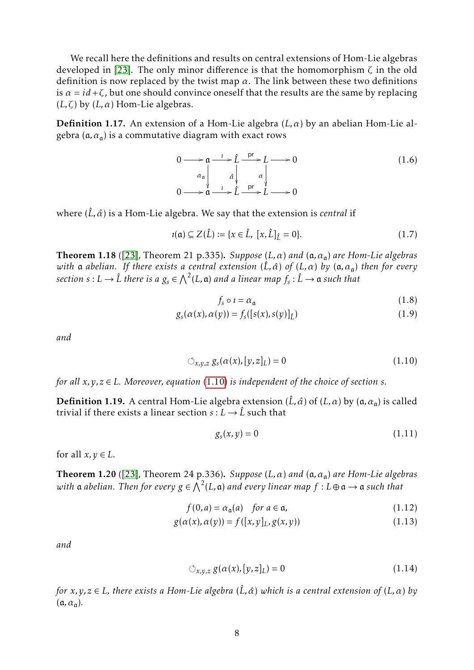<span id="page-7-3"></span>We recall here the definitions and results on central extensions of Hom-Lie algebras developed in [\[23\]](#page-28-3). The only minor difference is that the homomorphism *ζ* in the old definition is now replaced by the twist map  $\alpha$ . The link between these two definitions is  $\alpha = id + \zeta$ , but one should convince oneself that the results are the same by replacing ( $L, \zeta$ ) by ( $L, \alpha$ ) Hom-Lie algebras.

Definition 1.17. An extension of a Hom-Lie algebra (*L,α*) by an abelian Hom-Lie algebra (a*,α*<sup>a</sup> ) is a commutative diagram with exact rows

$$
0 \longrightarrow \mathfrak{a} \longrightarrow \hat{L} \longrightarrow L \longrightarrow 0
$$
  
\n
$$
\alpha_{\mathfrak{a}} \downarrow \qquad \qquad \alpha \downarrow \qquad \qquad \alpha \downarrow
$$
  
\n
$$
0 \longrightarrow \mathfrak{a} \longrightarrow \hat{L} \longrightarrow \hat{L} \longrightarrow 0
$$
\n(1.6)

where  $(\hat{L}, \hat{\alpha})$  is a Hom-Lie algebra. We say that the extension is *central* if

$$
u(\mathfrak{a}) \subseteq Z(\hat{L}) := \{x \in \hat{L}, [x, \hat{L}]_{\hat{L}} = 0\}.
$$
 (1.7)

<span id="page-7-1"></span>Theorem 1.18 ([\[23\]](#page-28-3), Theorem 21 p.335). *Suppose* (*L,α*) *and* (a*,α*<sup>a</sup> ) *are Hom-Lie algebras with* **a** *abelian.* If there exists a central extension ( $\hat{L}$ ,  $\hat{\alpha}$ ) of (L,  $\alpha$ ) by (α,  $\alpha$ <sub>α</sub>) then for every  $\tilde{s}: L \to \hat{L}$  there is a  $g_s \in \bigwedge^2(L, \mathfrak{a})$  and a linear map  $f_s : \hat{L} \to \mathfrak{a}$  such that

<span id="page-7-0"></span>
$$
f_s \circ \iota = \alpha_{\mathfrak{a}} \tag{1.8}
$$

$$
g_s(\alpha(x), \alpha(y)) = f_s([s(x), s(y)]_{\hat{L}})
$$
\n(1.9)

*and*

$$
\circlearrowleft_{x,y,z} g_s(\alpha(x), [y,z]_L) = 0 \tag{1.10}
$$

*for all*  $x, y, z \in L$ *. Moreover, equation* [\(1.10\)](#page-7-0) *is independent of the choice of section s.* 

**Definition 1.19.** A central Hom-Lie algebra extension ( $\hat{L}$ ,  $\hat{\alpha}$ ) of ( $L$ ,  $\alpha$ ) by ( $\alpha$ ,  $\alpha_a$ ) is called trivial if there exists a linear section  $s: L \to \hat{L}$  such that

$$
g_s(x, y) = 0 \tag{1.11}
$$

for all  $x, y \in L$ .

<span id="page-7-2"></span>Theorem 1.20 ([\[23\]](#page-28-3), Theorem 24 p.336). *Suppose* (*L,α*) *and* (a*,α*<sup>a</sup> ) *are Hom-Lie algebras*  $with$   $\frak a$   $abelian.$  Then for every  $g \in \bigwedge^2(L, \frak a)$  and every linear map  $f: L \oplus \frak a \to \frak a$  such that

$$
f(0, a) = \alpha_{\mathfrak{a}}(a) \quad \text{for } a \in \mathfrak{a}, \tag{1.12}
$$

$$
g(\alpha(x), \alpha(y)) = f([x, y]_L, g(x, y))
$$
\n(1.13)

*and*

$$
\circlearrowleft_{x,y,z} g(\alpha(x),[y,z]_L) = 0 \tag{1.14}
$$

*for*  $x, y, z \in L$ *, there exists a Hom-Lie algebra* ( $\hat{L}$ *,*  $\hat{\alpha}$ *) which is a central extension of* ( $L$ *,*  $\alpha$ ) *by* (a*,α*<sup>a</sup> )*.*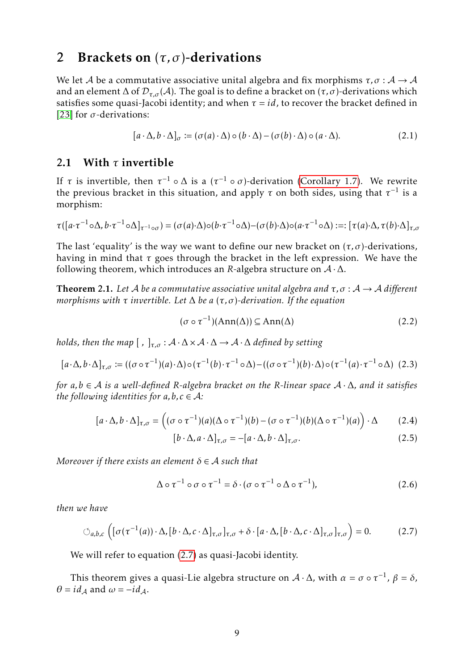### <span id="page-8-8"></span><span id="page-8-0"></span>2 Brackets on (*τ, σ*)-derivations

We let A be a commutative associative unital algebra and fix morphisms  $\tau$ ,  $\sigma$  :  $A \rightarrow A$ and an element  $\Delta$  of  $\mathcal{D}_{\tau,\sigma}(\mathcal{A})$ . The goal is to define a bracket on  $(\tau,\sigma)$ -derivations which satisfies some quasi-Jacobi identity; and when  $\tau = id$ , to recover the bracket defined in [\[23\]](#page-28-3) for *σ*-derivations:

$$
[a \cdot \Delta, b \cdot \Delta]_{\sigma} := (\sigma(a) \cdot \Delta) \circ (b \cdot \Delta) - (\sigma(b) \cdot \Delta) \circ (a \cdot \Delta). \tag{2.1}
$$

### 2.1 With *τ* invertible

If  $\tau$  is invertible, then  $\tau^{-1} \circ \Delta$  is a  $(\tau^{-1} \circ \sigma)$ -derivation [\(Corollary 1.7\)](#page-3-1). We rewrite the previous bracket in this situation, and apply  $\tau$  on both sides, using that  $\tau^{-1}$  is a morphism:

$$
\tau([a\cdot \tau^{-1} \circ \Delta, b\cdot \tau^{-1} \circ \Delta]_{\tau^{-1} \circ \sigma}) = (\sigma(a)\cdot \Delta) \circ (b\cdot \tau^{-1} \circ \Delta) - (\sigma(b)\cdot \Delta) \circ (a\cdot \tau^{-1} \circ \Delta) := [\tau(a)\cdot \Delta, \tau(b)\cdot \Delta]_{\tau, \sigma}
$$

The last 'equality' is the way we want to define our new bracket on  $(\tau, \sigma)$ -derivations, having in mind that *τ* goes through the bracket in the left expression. We have the following theorem, which introduces an *R*-algebra structure on  $A \cdot \Delta$ .

<span id="page-8-1"></span>**Theorem 2.1.** Let A be a commutative associative unital algebra and  $\tau$ ,  $\sigma$  :  $A \rightarrow A$  different *morphisms with τ invertible. Let* ∆ *be a* (*τ, σ*)*-derivation. If the equation*

<span id="page-8-3"></span>
$$
(\sigma \circ \tau^{-1})(\text{Ann}(\Delta)) \subseteq \text{Ann}(\Delta)
$$
 (2.2)

*holds, then the map*  $[ , ]_{\tau,\sigma} : A \cdot \Delta \times A \cdot \Delta \rightarrow A \cdot \Delta$  *defined by setting* 

<span id="page-8-6"></span>
$$
[a\cdot\Delta, b\cdot\Delta]_{\tau,\sigma} := ((\sigma \circ \tau^{-1})(a)\cdot\Delta) \circ (\tau^{-1}(b)\cdot\tau^{-1} \circ \Delta) - ((\sigma \circ \tau^{-1})(b)\cdot\Delta) \circ (\tau^{-1}(a)\cdot\tau^{-1} \circ \Delta) \tag{2.3}
$$

*for a,b* ∈ A *is a well-defined R-algebra bracket on the R-linear space* A · ∆*, and it satisfies the following identities for*  $a, b, c \in A$ *:* 

$$
[a \cdot \Delta, b \cdot \Delta]_{\tau, \sigma} = ((\sigma \circ \tau^{-1})(a)(\Delta \circ \tau^{-1})(b) - (\sigma \circ \tau^{-1})(b)(\Delta \circ \tau^{-1})(a)) \cdot \Delta \qquad (2.4)
$$

<span id="page-8-7"></span><span id="page-8-5"></span><span id="page-8-4"></span><span id="page-8-2"></span>
$$
[b \cdot \Delta, a \cdot \Delta]_{\tau,\sigma} = -[a \cdot \Delta, b \cdot \Delta]_{\tau,\sigma}.
$$
\n(2.5)

*Moreover if there exists an element*  $\delta \in A$  *such that* 

$$
\Delta \circ \tau^{-1} \circ \sigma \circ \tau^{-1} = \delta \cdot (\sigma \circ \tau^{-1} \circ \Delta \circ \tau^{-1}), \tag{2.6}
$$

*then we have*

$$
\bigcirc_{a,b,c} \left( [\sigma(\tau^{-1}(a)) \cdot \Delta, [b \cdot \Delta, c \cdot \Delta]_{\tau,\sigma}]_{\tau,\sigma} + \delta \cdot [a \cdot \Delta, [b \cdot \Delta, c \cdot \Delta]_{\tau,\sigma}]_{\tau,\sigma} \right) = 0. \tag{2.7}
$$

We will refer to equation [\(2.7\)](#page-8-2) as quasi-Jacobi identity.

This theorem gives a quasi-Lie algebra structure on  $\mathcal{A} \cdot \Delta$ , with  $\alpha = \sigma \circ \tau^{-1}$ ,  $\beta = \delta$ ,  $\theta = id_A$  and  $\omega = -id_A$ .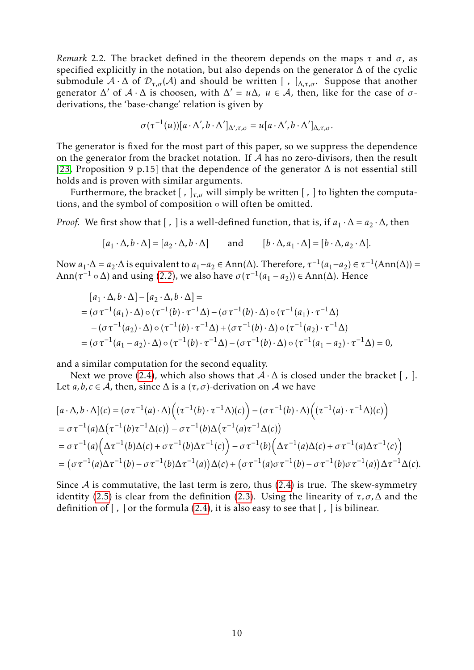<span id="page-9-0"></span>*Remark* 2.2*.* The bracket defined in the theorem depends on the maps *τ* and *σ*, as specified explicitly in the notation, but also depends on the generator  $\Delta$  of the cyclic submodule  $A \cdot \Delta$  of  $\mathcal{D}_{\tau,\sigma}(A)$  and should be written [,  $\Delta_{\tau,\sigma}$ . Suppose that another generator  $\Delta'$  of  $\mathcal{A} \cdot \Delta$  is choosen, with  $\Delta' = u\Delta$ ,  $u \in \mathcal{A}$ , then, like for the case of  $\sigma$ derivations, the 'base-change' relation is given by

$$
\sigma(\tau^{-1}(u))[a\cdot\Delta',b\cdot\Delta']_{\Delta',\tau,\sigma}=u[a\cdot\Delta',b\cdot\Delta']_{\Delta,\tau,\sigma}.
$$

The generator is fixed for the most part of this paper, so we suppress the dependence on the generator from the bracket notation. If  $A$  has no zero-divisors, then the result [\[23,](#page-28-3) Proposition 9 p.15] that the dependence of the generator  $\Delta$  is not essential still holds and is proven with similar arguments.

Furthermore, the bracket [ *,* ]*τ,σ* will simply be written [ *,* ] to lighten the computations, and the symbol of composition ◦ will often be omitted.

*Proof.* We first show that  $[ , ]$  is a well-defined function, that is, if  $a_1 \cdot \Delta = a_2 \cdot \Delta$ , then

$$
[a_1 \cdot \Delta, b \cdot \Delta] = [a_2 \cdot \Delta, b \cdot \Delta] \quad \text{and} \quad [b \cdot \Delta, a_1 \cdot \Delta] = [b \cdot \Delta, a_2 \cdot \Delta].
$$

Now *a*<sub>1</sub>⋅∆ = *a*<sub>2</sub>⋅∆ is equivalent to *a*<sub>1</sub>−*a*<sub>2</sub> ∈ Ann(∆). Therefore,  $τ^{-1}(a_1-a_2) ∈ τ^{-1}(Ann(∆))$  = Ann( $\tau^{-1} \circ \Delta$ ) and using [\(2.2\)](#page-8-3), we also have  $\sigma(\tau^{-1}(a_1 - a_2)) \in Ann(\Delta)$ . Hence

$$
[a_1 \cdot \Delta, b \cdot \Delta] - [a_2 \cdot \Delta, b \cdot \Delta] =
$$
  
=  $(\sigma \tau^{-1}(a_1) \cdot \Delta) \circ (\tau^{-1}(b) \cdot \tau^{-1} \Delta) - (\sigma \tau^{-1}(b) \cdot \Delta) \circ (\tau^{-1}(a_1) \cdot \tau^{-1} \Delta)$   
 $- (\sigma \tau^{-1}(a_2) \cdot \Delta) \circ (\tau^{-1}(b) \cdot \tau^{-1} \Delta) + (\sigma \tau^{-1}(b) \cdot \Delta) \circ (\tau^{-1}(a_2) \cdot \tau^{-1} \Delta)$   
=  $(\sigma \tau^{-1}(a_1 - a_2) \cdot \Delta) \circ (\tau^{-1}(b) \cdot \tau^{-1} \Delta) - (\sigma \tau^{-1}(b) \cdot \Delta) \circ (\tau^{-1}(a_1 - a_2) \cdot \tau^{-1} \Delta) = 0,$ 

and a similar computation for the second equality.

Next we prove [\(2.4\)](#page-8-4), which also shows that  $A \cdot \Delta$  is closed under the bracket [, ]. Let *a*, *b*, *c* ∈ *A*, then, since  $\Delta$  is a ( $\tau$ , $\sigma$ )-derivation on *A* we have

$$
[a \cdot \Delta, b \cdot \Delta](c) = (\sigma \tau^{-1}(a) \cdot \Delta) \Big( (\tau^{-1}(b) \cdot \tau^{-1} \Delta)(c) \Big) - (\sigma \tau^{-1}(b) \cdot \Delta) \Big( (\tau^{-1}(a) \cdot \tau^{-1} \Delta)(c) \Big)
$$
  
=  $\sigma \tau^{-1}(a) \Delta(\tau^{-1}(b) \tau^{-1} \Delta(c)) - \sigma \tau^{-1}(b) \Delta(\tau^{-1}(a) \tau^{-1} \Delta(c))$   
=  $\sigma \tau^{-1}(a) (\Delta \tau^{-1}(b) \Delta(c) + \sigma \tau^{-1}(b) \Delta \tau^{-1}(c)) - \sigma \tau^{-1}(b) (\Delta \tau^{-1}(a) \Delta(c) + \sigma \tau^{-1}(a) \Delta \tau^{-1}(c))$   
=  $(\sigma \tau^{-1}(a) \Delta \tau^{-1}(b) - \sigma \tau^{-1}(b) \Delta \tau^{-1}(a)) \Delta(c) + (\sigma \tau^{-1}(a) \sigma \tau^{-1}(b) - \sigma \tau^{-1}(b) \sigma \tau^{-1}(a)) \Delta \tau^{-1} \Delta(c).$ 

Since  $A$  is commutative, the last term is zero, thus [\(2.4\)](#page-8-4) is true. The skew-symmetry identity [\(2.5\)](#page-8-5) is clear from the definition [\(2.3\)](#page-8-6). Using the linearity of  $\tau$ ,  $\sigma$ ,  $\Delta$  and the definition of [ *,* ] or the formula [\(2.4\)](#page-8-4), it is also easy to see that [ *,* ] is bilinear.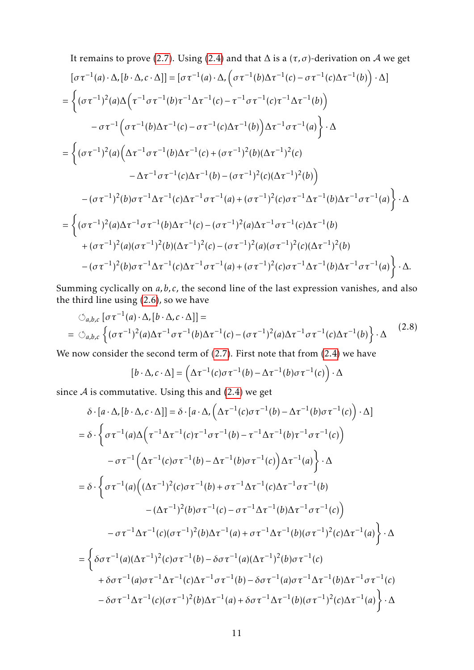It remains to prove (2.7). Using (2.4) and that 
$$
\Delta
$$
 is a  $(\tau, \sigma)$ -derivation on A we get  
\n
$$
[\sigma \tau^{-1}(a) \cdot \Delta, [b \cdot \Delta, c \cdot \Delta]] = [\sigma \tau^{-1}(a) \cdot \Delta, (\sigma \tau^{-1}(b) \Delta \tau^{-1}(c) - \sigma \tau^{-1}(c) \Delta \tau^{-1}(b)) \cdot \Delta]
$$
\n
$$
= \left\{ (\sigma \tau^{-1})^2(a) \Delta (\tau^{-1} \sigma \tau^{-1}(b) \tau^{-1} \Delta \tau^{-1}(c) - \tau^{-1} \sigma \tau^{-1}(c) \tau^{-1} \Delta \tau^{-1}(b)) - \sigma \tau^{-1} (\sigma \tau^{-1}(b) \Delta \tau^{-1}(c) - \sigma \tau^{-1}(c) \Delta \tau^{-1}(b)) \Delta \tau^{-1} \sigma \tau^{-1}(a) \right\} \cdot \Delta
$$
\n
$$
= \left\{ (\sigma \tau^{-1})^2(a) (\Delta \tau^{-1} \sigma \tau^{-1}(b) \Delta \tau^{-1}(c) + (\sigma \tau^{-1})^2(b) (\Delta \tau^{-1})^2(c) - \Delta \tau^{-1} \sigma \tau^{-1}(c) \Delta \tau^{-1}(b) - (\sigma \tau^{-1})^2(c) (\Delta \tau^{-1})^2(b)) - (\sigma \tau^{-1})^2(b) \sigma \tau^{-1} \Delta \tau^{-1}(c) \Delta \tau^{-1} \sigma \tau^{-1}(a) + (\sigma \tau^{-1})^2(c) \sigma \tau^{-1} \Delta \tau^{-1}(b) \Delta \tau^{-1} \sigma \tau^{-1}(a) \right\} \cdot \Delta
$$
\n
$$
= \left\{ (\sigma \tau^{-1})^2(a) \Delta \tau^{-1} \sigma \tau^{-1}(b) \Delta \tau^{-1}(c) - (\sigma \tau^{-1})^2(a) \Delta \tau^{-1} \sigma \tau^{-1}(c) \Delta \tau^{-1}(b) - (\sigma \tau^{-1})^2(a) (\sigma \tau^{-1})^2(b) - (\sigma \tau^{-1})^2(a) (\sigma \tau^{-1})^2(b) (\Delta \tau^{-1})^2(b) - (\sigma \tau^{-1})^2(b) \sigma \tau^{-1} \Delta \tau^{-1}(c) \Delta \tau^{-1} \sigma \tau^{-1}(a) + (\sigma \tau^{-1})^2(c) \sigma \tau^{-1} \Delta \tau^{-1}(b) \Delta \tau^{-1} \sigma \tau^{-1}(a) \right\} \cdot \Delta.
$$

Summing cyclically on *a*, *b*, *c*, the second line of the last expression vanishes, and also the third line using [\(2.6\)](#page-8-7), so we have

<span id="page-10-0"></span>
$$
\circlearrowleft_{a,b,c} [\sigma \tau^{-1}(a) \cdot \Delta, [b \cdot \Delta, c \cdot \Delta]] =
$$
\n
$$
= \circlearrowleft_{a,b,c} \left\{ (\sigma \tau^{-1})^2(a) \Delta \tau^{-1} \sigma \tau^{-1}(b) \Delta \tau^{-1}(c) - (\sigma \tau^{-1})^2(a) \Delta \tau^{-1} \sigma \tau^{-1}(c) \Delta \tau^{-1}(b) \right\} \cdot \Delta
$$
\n(2.8)

We now consider the second term of [\(2.7\)](#page-8-2). First note that from [\(2.4\)](#page-8-4) we have

$$
[b \cdot \Delta, c \cdot \Delta] = \left(\Delta \tau^{-1}(c) \sigma \tau^{-1}(b) - \Delta \tau^{-1}(b) \sigma \tau^{-1}(c)\right) \cdot \Delta
$$

since  $A$  is commutative. Using this and [\(2.4\)](#page-8-4) we get

$$
\delta \cdot [a \cdot \Delta, [b \cdot \Delta, c \cdot \Delta]] = \delta \cdot [a \cdot \Delta, (\Delta \tau^{-1}(c)\sigma \tau^{-1}(b) - \Delta \tau^{-1}(b)\sigma \tau^{-1}(c)) \cdot \Delta]
$$
  
\n
$$
= \delta \cdot \left\{ \sigma \tau^{-1}(a)\Delta \left( \tau^{-1} \Delta \tau^{-1}(c)\tau^{-1} \sigma \tau^{-1}(b) - \tau^{-1} \Delta \tau^{-1}(b)\tau^{-1} \sigma \tau^{-1}(c) \right) \right\}
$$
  
\n
$$
- \sigma \tau^{-1} (\Delta \tau^{-1}(c)\sigma \tau^{-1}(b) - \Delta \tau^{-1}(b)\sigma \tau^{-1}(c)) \Delta \tau^{-1}(a) \right\} \cdot \Delta
$$
  
\n
$$
= \delta \cdot \left\{ \sigma \tau^{-1}(a) \left( (\Delta \tau^{-1})^2(c)\sigma \tau^{-1}(b) + \sigma \tau^{-1} \Delta \tau^{-1}(c)\Delta \tau^{-1} \sigma \tau^{-1}(b) \right. \right.
$$
  
\n
$$
- (\Delta \tau^{-1})^2(b)\sigma \tau^{-1}(c) - \sigma \tau^{-1} \Delta \tau^{-1}(b)\Delta \tau^{-1} \sigma \tau^{-1}(c) \right)
$$
  
\n
$$
- \sigma \tau^{-1} \Delta \tau^{-1}(c)(\sigma \tau^{-1})^2(b)\Delta \tau^{-1}(a) + \sigma \tau^{-1} \Delta \tau^{-1}(b)(\sigma \tau^{-1})^2(c)\Delta \tau^{-1}(a) \right\} \cdot \Delta
$$
  
\n
$$
= \left\{ \delta \sigma \tau^{-1}(a)(\Delta \tau^{-1})^2(c)\sigma \tau^{-1}(b) - \delta \sigma \tau^{-1}(a)(\Delta \tau^{-1})^2(b)\sigma \tau^{-1}(c) \right.
$$
  
\n
$$
+ \delta \sigma \tau^{-1}(a)\sigma \tau^{-1} \Delta \tau^{-1}(c)\Delta \tau^{-1} \sigma \tau^{-1}(b) - \delta \sigma \tau^{-1}(a)\sigma \tau^{-1} \Delta \tau^{-1}(b)\Delta \tau^{-1} \sigma \tau^{-1}(c) \right.
$$
  
\n
$$
- \delta \sigma \tau^{-1} \Delta \tau^{-1}(c)(\sigma \tau^{-1})^2(b)\Delta \tau^{-1}(a) + \delta \sigma \tau^{-1} \Delta \tau^{-1}(b)(\sigma \tau^{-1})^2(c)\Delta \tau^{-1}(a) \right\} \
$$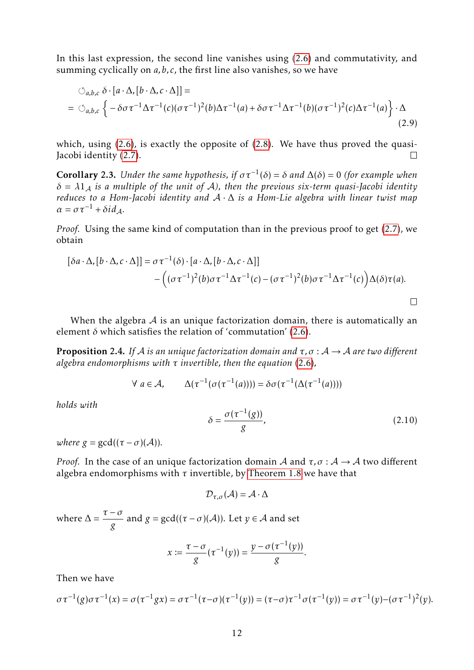In this last expression, the second line vanishes using [\(2.6\)](#page-8-7) and commutativity, and summing cyclically on *a,b, c*, the first line also vanishes, so we have

$$
\circlearrowleft_{a,b,c} \delta \cdot [a \cdot \Delta, [b \cdot \Delta, c \cdot \Delta]] =
$$
\n
$$
= \circlearrowleft_{a,b,c} \left\{ -\delta \sigma \tau^{-1} \Delta \tau^{-1} (c) (\sigma \tau^{-1})^2 (b) \Delta \tau^{-1} (a) + \delta \sigma \tau^{-1} \Delta \tau^{-1} (b) (\sigma \tau^{-1})^2 (c) \Delta \tau^{-1} (a) \right\} \cdot \Delta
$$
\n(2.9)

which, using [\(2.6\)](#page-8-7), is exactly the opposite of [\(2.8\)](#page-10-0). We have thus proved the quasi-Jacobi identity [\(2.7\)](#page-8-2).  $\Box$ 

**Corollary 2.3.** *Under the same hypothesis, if*  $\sigma \tau^{-1}(\delta) = \delta$  *and*  $\Delta(\delta) = 0$  *(for example when*)  $\delta = \lambda \mathbb{1}_A$  *is a multiple of the unit of A*), then the previous six-term quasi-Jacobi identity *reduces to a Hom-Jacobi identity and* A · ∆ *is a Hom-Lie algebra with linear twist map*  $\alpha = \sigma \tau^{-1} + \delta i d_A$ .

*Proof.* Using the same kind of computation than in the previous proof to get [\(2.7\)](#page-8-2), we obtain

$$
[\delta a \cdot \Delta, [b \cdot \Delta, c \cdot \Delta]] = \sigma \tau^{-1}(\delta) \cdot [a \cdot \Delta, [b \cdot \Delta, c \cdot \Delta]]
$$
  
 
$$
- ((\sigma \tau^{-1})^2(b) \sigma \tau^{-1} \Delta \tau^{-1}(c) - (\sigma \tau^{-1})^2(b) \sigma \tau^{-1} \Delta \tau^{-1}(c)) \Delta(\delta) \tau(a).
$$

When the algebra  $A$  is an unique factorization domain, there is automatically an element  $\delta$  which satisfies the relation of 'commutation' [\(2.6\)](#page-8-7).

<span id="page-11-0"></span>**Proposition 2.4.** *If* A *is an unique factorization domain and*  $\tau$ ,  $\sigma$  :  $A \rightarrow A$  *are two different algebra endomorphisms with τ invertible, then the equation* [\(2.6\)](#page-8-7)*,*

$$
\forall a \in \mathcal{A}, \qquad \Delta(\tau^{-1}(\sigma(\tau^{-1}(a)))) = \delta \sigma(\tau^{-1}(\Delta(\tau^{-1}(a))))
$$

*holds with*

$$
\delta = \frac{\sigma(\tau^{-1}(g))}{g},\tag{2.10}
$$

*where*  $g = \gcd((\tau - \sigma)(\mathcal{A}))$ *.* 

*Proof.* In the case of an unique factorization domain A and  $\tau$ ,  $\sigma$  : A  $\rightarrow$  A two different algebra endomorphisms with  $\tau$  invertible, by [Theorem 1.8](#page-4-1) we have that

$$
\mathcal{D}_{\tau,\sigma}(\mathcal{A})=\mathcal{A}\cdot\Delta
$$

where  $\Delta = \frac{\tau - \sigma}{\sigma}$ *g* and  $g = \gcd((\tau - \sigma)(\mathcal{A}))$ . Let  $y \in \mathcal{A}$  and set

$$
x \coloneqq \frac{\tau - \sigma}{g}(\tau^{-1}(y)) = \frac{y - \sigma(\tau^{-1}(y))}{g}.
$$

Then we have

$$
\sigma \tau^{-1}(g) \sigma \tau^{-1}(x) = \sigma(\tau^{-1}gx) = \sigma \tau^{-1}(\tau - \sigma)(\tau^{-1}(y)) = (\tau - \sigma)\tau^{-1} \sigma(\tau^{-1}(y)) = \sigma \tau^{-1}(y) - (\sigma \tau^{-1})^2(y).
$$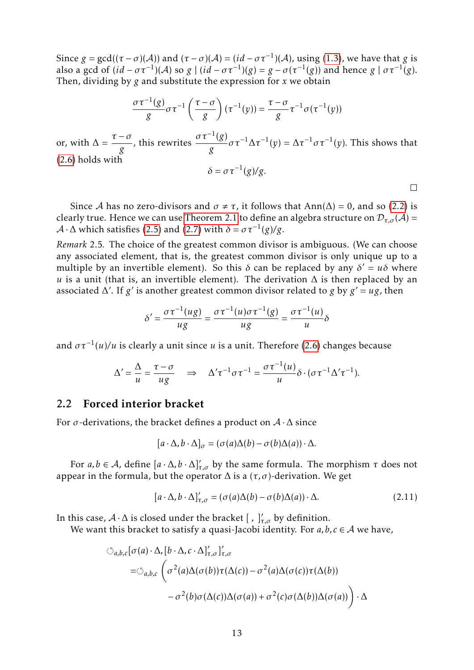Since  $g = \gcd((\tau - \sigma)(\mathcal{A}))$  and  $(\tau - \sigma)(\mathcal{A}) = (id - \sigma \tau^{-1})(\mathcal{A})$ , using [\(1.3\)](#page-4-2), we have that *g* is also a gcd of  $(id - \sigma \tau^{-1})(A)$  so  $g \mid (id - \sigma \tau^{-1})(g) = g - \sigma(\tau^{-1}(g))$  and hence  $g \mid \sigma \tau^{-1}(g)$ . Then, dividing by *g* and substitute the expression for *x* we obtain

$$
\frac{\sigma \tau^{-1}(g)}{g} \sigma \tau^{-1} \left( \frac{\tau - \sigma}{g} \right) (\tau^{-1}(y)) = \frac{\tau - \sigma}{g} \tau^{-1} \sigma (\tau^{-1}(y))
$$
  
or, with  $\Delta = \frac{\tau - \sigma}{g}$ , this rewrites  $\frac{\sigma \tau^{-1}(g)}{g} \sigma \tau^{-1} \Delta \tau^{-1}(y) = \Delta \tau^{-1} \sigma \tau^{-1}(y)$ . This shows that  
(2.6) holds with  $\delta = \sigma \tau^{-1}(g)/g$ .

Since A has no zero-divisors and  $\sigma \neq \tau$ , it follows that Ann( $\Delta$ ) = 0, and so [\(2.2\)](#page-8-3) is clearly true. Hence we can use [Theorem 2.1](#page-8-1) to define an algebra structure on  $\mathcal{D}_{\tau,\sigma}(\mathcal{A})$  =  $\mathcal{A} \cdot \Delta$  which satisfies [\(2.5\)](#page-8-5) and [\(2.7\)](#page-8-2) with  $\delta = \sigma \tau^{-1}(g)/g$ .

<span id="page-12-0"></span>*Remark* 2.5*.* The choice of the greatest common divisor is ambiguous. (We can choose any associated element, that is, the greatest common divisor is only unique up to a multiple by an invertible element). So this  $\delta$  can be replaced by any  $\delta' = u\delta$  where *u* is a unit (that is, an invertible element). The derivation  $\Delta$  is then replaced by an associated  $\Delta'$ . If *g'* is another greatest common divisor related to *g* by  $g' = ug$ , then

$$
\delta' = \frac{\sigma \tau^{-1}(u g)}{u g} = \frac{\sigma \tau^{-1}(u) \sigma \tau^{-1}(g)}{u g} = \frac{\sigma \tau^{-1}(u)}{u} \delta
$$

and  $\sigma \tau^{-1}(u)/u$  is clearly a unit since *u* is a unit. Therefore [\(2.6\)](#page-8-7) changes because

$$
\Delta' = \frac{\Delta}{u} = \frac{\tau - \sigma}{ug} \quad \Rightarrow \quad \Delta' \tau^{-1} \sigma \tau^{-1} = \frac{\sigma \tau^{-1}(u)}{u} \delta \cdot (\sigma \tau^{-1} \Delta' \tau^{-1}).
$$

#### 2.2 Forced interior bracket

For  $\sigma$ -derivations, the bracket defines a product on  $\mathcal{A} \cdot \Delta$  since

$$
[a \cdot \Delta, b \cdot \Delta]_{\sigma} = (\sigma(a)\Delta(b) - \sigma(b)\Delta(a)) \cdot \Delta.
$$

For  $a, b \in A$ , define  $[a \cdot \Delta, b \cdot \Delta]'_{\tau, \sigma}$  by the same formula. The morphism  $\tau$  does not appear in the formula, but the operator  $\Delta$  is a  $(\tau, \sigma)$ -derivation. We get

$$
[a \cdot \Delta, b \cdot \Delta]'_{\tau,\sigma} = (\sigma(a)\Delta(b) - \sigma(b)\Delta(a)) \cdot \Delta.
$$
 (2.11)

In this case,  $A \cdot \Delta$  is closed under the bracket  $[ , ]'_{\tau,\sigma}$  by definition.

We want this bracket to satisfy a quasi-Jacobi identity. For  $a, b, c \in A$  we have,

$$
\bigcirc_{a,b,c} [\sigma(a) \cdot \Delta, [b \cdot \Delta, c \cdot \Delta]_{\tau,\sigma}']_{\tau,\sigma}
$$
  
= 
$$
\bigcirc_{a,b,c} \left( \sigma^2(a) \Delta(\sigma(b)) \tau(\Delta(c)) - \sigma^2(a) \Delta(\sigma(c)) \tau(\Delta(b)) - \sigma^2(b) \sigma(\Delta(c)) \Delta(\sigma(a)) + \sigma^2(c) \sigma(\Delta(b)) \Delta(\sigma(a)) \right) \cdot \Delta
$$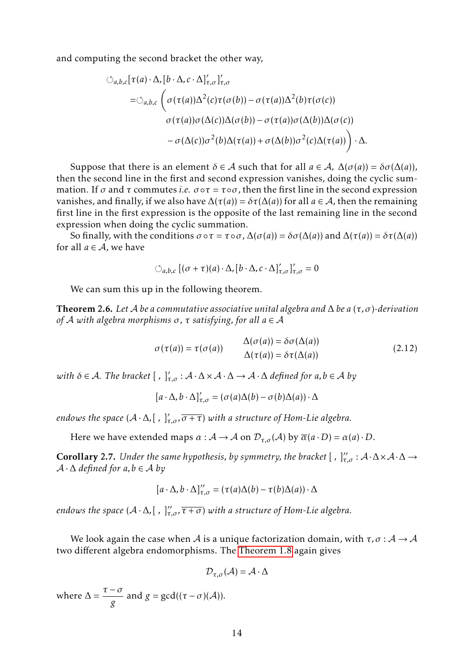and computing the second bracket the other way,

<span id="page-13-2"></span>
$$
\bigcirc_{a,b,c} [\tau(a) \cdot \Delta, [b \cdot \Delta, c \cdot \Delta]_{\tau,\sigma}']'_{\tau,\sigma}
$$
\n
$$
= \bigcirc_{a,b,c} \left( \sigma(\tau(a))\Delta^2(c)\tau(\sigma(b)) - \sigma(\tau(a))\Delta^2(b)\tau(\sigma(c)) - \sigma(\tau(a))\sigma(\Delta(b))\Delta(\sigma(c)) \right)
$$
\n
$$
- \sigma(\Delta(c))\sigma^2(b)\Delta(\tau(a)) + \sigma(\Delta(b))\sigma^2(c)\Delta(\tau(a)) \right) \cdot \Delta.
$$

Suppose that there is an element  $\delta \in A$  such that for all  $a \in A$ ,  $\Delta(\sigma(a)) = \delta \sigma(\Delta(a))$ , then the second line in the first and second expression vanishes, doing the cyclic summation. If  $\sigma$  and  $\tau$  commutes *i.e.*  $\sigma \circ \tau = \tau \circ \sigma$ , then the first line in the second expression vanishes, and finally, if we also have  $\Delta(\tau(a)) = \delta \tau(\Delta(a))$  for all  $a \in A$ , then the remaining first line in the first expression is the opposite of the last remaining line in the second expression when doing the cyclic summation.

So finally, with the conditions  $\sigma \circ \tau = \tau \circ \sigma$ ,  $\Delta(\sigma(a)) = \delta \sigma(\Delta(a))$  and  $\Delta(\tau(a)) = \delta \tau(\Delta(a))$ for all  $a \in \mathcal{A}$ , we have

$$
\circlearrowleft_{a,b,c}[(\sigma+\tau)(a)\cdot\Delta,[b\cdot\Delta,c\cdot\Delta]'_{\tau,\sigma}]'_{\tau,\sigma}=0
$$

We can sum this up in the following theorem.

<span id="page-13-0"></span>Theorem 2.6. *Let* A *be a commutative associative unital algebra and* ∆ *be a* (*τ, σ*)*-derivation of* A *with algebra morphisms σ, τ satisfying, for all a* ∈ A

<span id="page-13-1"></span>
$$
\sigma(\tau(a)) = \tau(\sigma(a)) \qquad \Delta(\sigma(a)) = \delta\sigma(\Delta(a)) \Delta(\tau(a)) = \delta\tau(\Delta(a))
$$
\n(2.12)

 $with \delta \in \mathcal{A}$ . The bracket  $[ , ]'_{\tau,\sigma} : \mathcal{A} \cdot \Delta \times \mathcal{A} \cdot \Delta \to \mathcal{A} \cdot \Delta$  defined for  $a, b \in \mathcal{A}$  by

$$
[a \cdot \Delta, b \cdot \Delta]'_{\tau,\sigma} = (\sigma(a)\Delta(b) - \sigma(b)\Delta(a)) \cdot \Delta
$$

*endows the space*  $(A \cdot \Delta, [ , ]'_{\tau,\sigma}, \overline{\sigma + \tau})$  *with a structure of Hom-Lie algebra.* 

Here we have extended maps  $\alpha : A \to A$  on  $\mathcal{D}_{\tau,\sigma}(A)$  by  $\overline{\alpha}(a \cdot D) = \alpha(a) \cdot D$ .

**Corollary 2.7.** Under the same hypothesis, by symmetry, the bracket  $[ , ]''_{\tau,\sigma} : A \cdot \Delta \times A \cdot \Delta \rightarrow$  $A \cdot \Delta$  *defined for a, b*  $\in$  *A by* 

$$
[a \cdot \Delta, b \cdot \Delta]''_{\tau, \sigma} = (\tau(a)\Delta(b) - \tau(b)\Delta(a)) \cdot \Delta
$$

*endows the space*  $(\mathcal{A} \cdot \Delta, [\; , \;]'_{\tau, \sigma}, \overline{\tau + \sigma})$  *with a structure of Hom-Lie algebra.* 

We look again the case when A is a unique factorization domain, with  $\tau$ ,  $\sigma$  :  $A \rightarrow A$ two different algebra endomorphisms. The [Theorem 1.8](#page-4-1) again gives

$$
\mathcal{D}_{\tau,\sigma}(\mathcal{A})=\mathcal{A}\cdot\Delta
$$

where  $\Delta = \frac{\tau - \sigma}{\sigma}$ *g* and  $g = \gcd((\tau - \sigma)(\mathcal{A}))$ .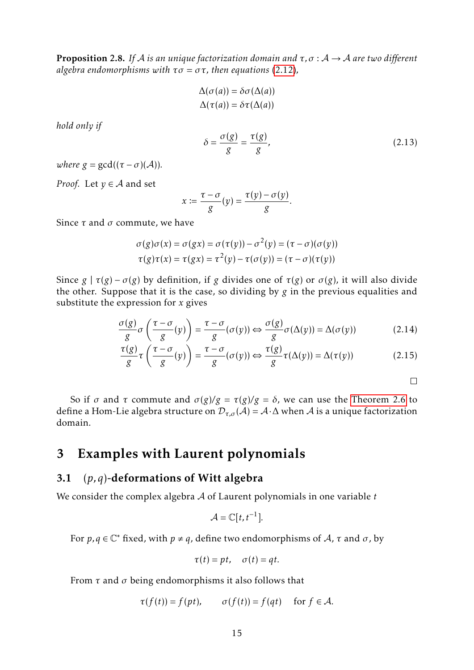**Proposition 2.8.** If A *is an unique factorization domain and*  $\tau$ ,  $\sigma$  :  $A \rightarrow A$  *are two different algebra endomorphisms with*  $\tau \sigma = \sigma \tau$ *, then equations* [\(2.12\)](#page-13-1)*,* 

$$
\Delta(\sigma(a)) = \delta\sigma(\Delta(a))
$$
  

$$
\Delta(\tau(a)) = \delta\tau(\Delta(a))
$$

*hold only if*

$$
\delta = \frac{\sigma(g)}{g} = \frac{\tau(g)}{g},\tag{2.13}
$$

*where*  $g = \gcd((\tau - \sigma)(\mathcal{A}))$ *.* 

*Proof.* Let  $y \in A$  and set

$$
x := \frac{\tau - \sigma}{g}(y) = \frac{\tau(y) - \sigma(y)}{g}.
$$

Since *τ* and *σ* commute, we have

$$
\sigma(g)\sigma(x) = \sigma(gx) = \sigma(\tau(y)) - \sigma^2(y) = (\tau - \sigma)(\sigma(y))
$$
  

$$
\tau(g)\tau(x) = \tau(gx) = \tau^2(y) - \tau(\sigma(y)) = (\tau - \sigma)(\tau(y))
$$

Since  $g | \tau(g) - \sigma(g)$  by definition, if *g* divides one of  $\tau(g)$  or  $\sigma(g)$ , it will also divide the other. Suppose that it is the case, so dividing by *g* in the previous equalities and substitute the expression for *x* gives

$$
\frac{\sigma(g)}{g}\sigma\left(\frac{\tau-\sigma}{g}(y)\right) = \frac{\tau-\sigma}{g}(\sigma(y)) \Leftrightarrow \frac{\sigma(g)}{g}\sigma(\Delta(y)) = \Delta(\sigma(y))\tag{2.14}
$$

$$
\frac{\tau(g)}{g}\tau\left(\frac{\tau-\sigma}{g}(y)\right) = \frac{\tau-\sigma}{g}(\sigma(y)) \Leftrightarrow \frac{\tau(g)}{g}\tau(\Delta(y)) = \Delta(\tau(y))\tag{2.15}
$$

 $\Box$ 

So if *σ* and *τ* commute and  $\sigma(g)/g = \tau(g)/g = \delta$ , we can use the [Theorem 2.6](#page-13-0) to define a Hom-Lie algebra structure on  $\mathcal{D}_{\tau,\sigma}(\mathcal{A}) = \mathcal{A}\cdot\Delta$  when  $\mathcal{A}$  is a unique factorization domain.

# <span id="page-14-0"></span>3 Examples with Laurent polynomials

### <span id="page-14-1"></span>3.1 (*p,q*)-deformations of Witt algebra

We consider the complex algebra A of Laurent polynomials in one variable *t*

$$
\mathcal{A}=\mathbb{C}[t,t^{-1}].
$$

For  $p, q \in \mathbb{C}^*$  fixed, with  $p \neq q$ , define two endomorphisms of A,  $\tau$  and  $\sigma$ , by

$$
\tau(t) = pt, \quad \sigma(t) = qt.
$$

From *τ* and *σ* being endomorphisms it also follows that

$$
\tau(f(t)) = f(pt), \qquad \sigma(f(t)) = f(qt) \quad \text{ for } f \in \mathcal{A}.
$$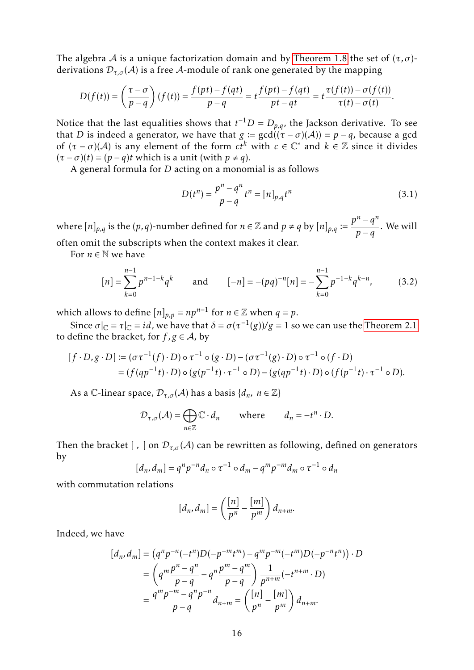The algebra A is a unique factorization domain and by [Theorem 1.8](#page-4-1) the set of  $(\tau, \sigma)$ derivations  $\mathcal{D}_{\tau,\sigma}(\mathcal{A})$  is a free A-module of rank one generated by the mapping

$$
D(f(t)) = \left(\frac{\tau - \sigma}{p - q}\right)(f(t)) = \frac{f(pt) - f(qt)}{p - q} = t\frac{f(pt) - f(qt)}{pt - qt} = t\frac{\tau(f(t)) - \sigma(f(t))}{\tau(t) - \sigma(t)}.
$$

Notice that the last equalities shows that  $t^{-1}D = D_{p,q}$ , the Jackson derivative. To see that *D* is indeed a generator, we have that  $g := \gcd((\tau - \sigma)(\mathcal{A})) = p - q$ , because a gcd of  $(\tau - \sigma)(\mathcal{A})$  is any element of the form  $c t^k$  with  $c \in \mathbb{C}^*$  and  $k \in \mathbb{Z}$  since it divides  $(\tau - \sigma)(t) = (p - q)t$  which is a unit (with  $p \neq q$ ).

A general formula for *D* acting on a monomial is as follows

$$
D(t^n) = \frac{p^n - q^n}{p - q} t^n = [n]_{p,q} t^n
$$
\n(3.1)

where  $[n]_{p,q}$  is the  $(p,q)$ -number defined for  $n \in \mathbb{Z}$  and  $p \neq q$  by  $[n]_{p,q} := \frac{p^n - q^n}{n}$  $\frac{q}{p-q}$ . We will often omit the subscripts when the context makes it clear.

For  $n \in \mathbb{N}$  we have

$$
[n] = \sum_{k=0}^{n-1} p^{n-1-k} q^k \quad \text{and} \quad [-n] = -(pq)^{-n} [n] = -\sum_{k=0}^{n-1} p^{-1-k} q^{k-n}, \quad (3.2)
$$

which allows to define  $[n]_{p,p} = np^{n-1}$  for  $n \in \mathbb{Z}$  when  $q = p$ .

Since  $\sigma|_{\mathbb{C}} = \tau|_{\mathbb{C}} = id$ , we have that  $\delta = \sigma(\tau^{-1}(g))/g = 1$  so we can use the [Theorem 2.1](#page-8-1) to define the bracket, for  $f$ ,  $g \in A$ , by

$$
[f \cdot D, g \cdot D] := (\sigma \tau^{-1}(f) \cdot D) \circ \tau^{-1} \circ (g \cdot D) - (\sigma \tau^{-1}(g) \cdot D) \circ \tau^{-1} \circ (f \cdot D)
$$
  
= 
$$
(f(qp^{-1}t) \cdot D) \circ (g(p^{-1}t) \cdot \tau^{-1} \circ D) - (g(qp^{-1}t) \cdot D) \circ (f(p^{-1}t) \cdot \tau^{-1} \circ D).
$$

As a C-linear space,  $\mathcal{D}_{\tau,\sigma}(\mathcal{A})$  has a basis  $\{d_n, n \in \mathbb{Z}\}\$ 

$$
\mathcal{D}_{\tau,\sigma}(\mathcal{A}) = \bigoplus_{n \in \mathbb{Z}} \mathbb{C} \cdot d_n \quad \text{where} \quad d_n = -t^n \cdot D.
$$

Then the bracket [, ] on  $\mathcal{D}_{\tau,\sigma}(\mathcal{A})$  can be rewritten as following, defined on generators by

$$
[d_n, d_m] = q^n p^{-n} d_n \circ \tau^{-1} \circ d_m - q^m p^{-m} d_m \circ \tau^{-1} \circ d_n
$$

with commutation relations

$$
[d_n, d_m] = \left(\frac{[n]}{p^n} - \frac{[m]}{p^m}\right) d_{n+m}.
$$

Indeed, we have

$$
[d_n, d_m] = (q^n p^{-n} (-t^n) D(-p^{-m} t^m) - q^m p^{-m} (-t^m) D(-p^{-n} t^n)) \cdot D
$$
  
=  $\left( q^m \frac{p^n - q^n}{p - q} - q^n \frac{p^m - q^m}{p - q} \right) \frac{1}{p^{n+m}} (-t^{n+m} \cdot D)$   
=  $\frac{q^m p^{-m} - q^n p^{-n}}{p - q} d_{n+m} = \left( \frac{[n]}{p^n} - \frac{[m]}{p^m} \right) d_{n+m}.$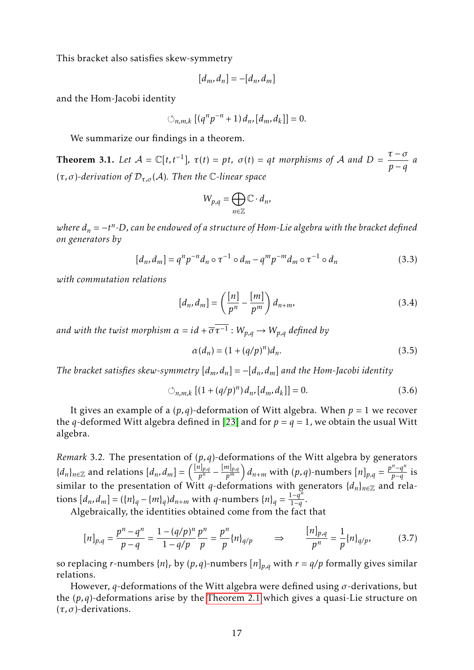<span id="page-16-2"></span>This bracket also satisfies skew-symmetry

$$
[d_m, d_n] = -[d_n, d_m]
$$

and the Hom-Jacobi identity

$$
\circlearrowleft_{n,m,k} [(q^n p^{-n} + 1) d_n, [d_m, d_k]] = 0.
$$

We summarize our findings in a theorem.

<span id="page-16-1"></span>**Theorem 3.1.** Let  $A = \mathbb{C}[t, t^{-1}], \tau(t) = pt, \sigma(t) = qt$  *morphisms of* A and D = *τ* − *σ*  $\frac{c}{p-q}$  *a* (*τ, σ*)*-derivation of* D*τ,σ* (A)*. Then the* C*-linear space*

$$
W_{p,q} = \bigoplus_{n \in \mathbb{Z}} \mathbb{C} \cdot d_n,
$$

*where d<sup>n</sup>* = −*t n* ·*D, can be endowed of a structure of Hom-Lie algebra with the bracket defined on generators by*

$$
[d_n, d_m] = q^n p^{-n} d_n \circ \tau^{-1} \circ d_m - q^m p^{-m} d_m \circ \tau^{-1} \circ d_n \tag{3.3}
$$

*with commutation relations*

$$
[d_n, d_m] = \left(\frac{[n]}{p^n} - \frac{[m]}{p^m}\right) d_{n+m},\tag{3.4}
$$

 $a$ nd with the twist morphism  $\alpha = id + \overline{\sigma} \overline{\tau^{-1}}$  :  $W_{p,q} \rightarrow W_{p,q}$  defined by

$$
\alpha(d_n) = (1 + (q/p)^n) d_n.
$$
 (3.5)

*The bracket satisfies skew-symmetry*  $[d_m, d_n] = -[d_n, d_m]$  *and the Hom-Jacobi identity* 

$$
\circlearrowleft_{n,m,k} \left[ (1 + (q/p)^n) \, d_n, [d_m, d_k] \right] = 0. \tag{3.6}
$$

It gives an example of a  $(p,q)$ -deformation of Witt algebra. When  $p = 1$  we recover the *q*-deformed Witt algebra defined in [\[23\]](#page-28-3) and for  $p = q = 1$ , we obtain the usual Witt algebra.

*Remark* 3.2*.* The presentation of (*p,q*)-deformations of the Witt algebra by generators *{* $d_n$ *}*<sup>*n*∈Z</sup> and relations  $[d_n, d_m] = \left(\frac{[n]_{p,q}}{p^n}\right)$  $\frac{p_{p,q}}{p^n} - \frac{[m]_{p,q}}{p^m}$ *p<sup>m</sup> d*<sub>*n*+*m*</sub> with (*p*,*q*)-numbers  $[n]_{p,q} = \frac{p^n - q^n}{p-q}$  $\frac{-q}{p-q}$  is similar to the presentation of Witt *q*-deformations with generators  $\{d_n\}_{n\in\mathbb{Z}}$  and relations  $[d_n, d_m] = (\{n\}_q - \{m\}_q)d_{n+m}$  with *q*-numbers  $\{n\}_q = \frac{1-q^n}{1-q}$  $\frac{1-q}{1-q}$ .

Algebraically, the identities obtained come from the fact that

<span id="page-16-0"></span>
$$
[n]_{p,q} = \frac{p^n - q^n}{p - q} = \frac{1 - (q/p)^n}{1 - q/p} \frac{p^n}{p} = \frac{p^n}{p} \{n\}_{q/p} \qquad \Rightarrow \qquad \frac{[n]_{p,q}}{p^n} = \frac{1}{p} \{n\}_{q/p}, \tag{3.7}
$$

so replacing *r*-numbers  $\{n\}$ *r* by  $(p, q)$ -numbers  $[n]$ <sub>*p*,*q*</sub> with  $r = q/p$  formally gives similar relations.

However, *q*-deformations of the Witt algebra were defined using *σ*-derivations, but the (*p,q*)-deformations arise by the [Theorem 2.1](#page-8-1) which gives a quasi-Lie structure on (*τ, σ*)-derivations.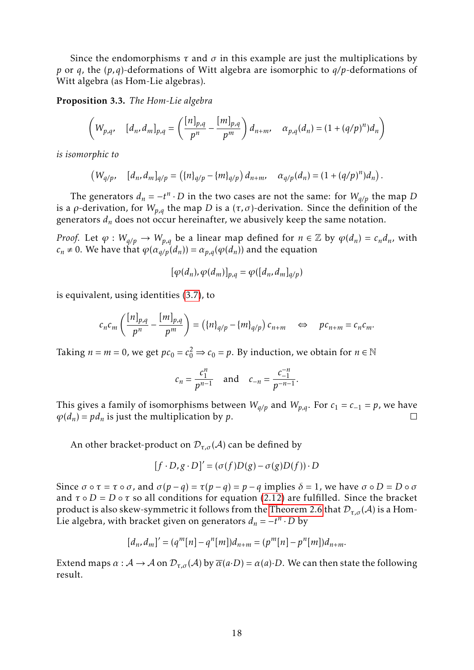Since the endomorphisms  $\tau$  and  $\sigma$  in this example are just the multiplications by *p* or *q*, the (*p,q*)-deformations of Witt algebra are isomorphic to *q/p*-deformations of Witt algebra (as Hom-Lie algebras).

<span id="page-17-0"></span>Proposition 3.3. *The Hom-Lie algebra*

$$
\left(W_{p,q}, \quad [d_n, d_m]_{p,q} = \left(\frac{[n]_{p,q}}{p^n} - \frac{[m]_{p,q}}{p^m}\right) d_{n+m}, \quad \alpha_{p,q}(d_n) = (1 + (q/p)^n) d_n\right)
$$

*is isomorphic to*

 $(W_{q/p}, \quad [d_n, d_m]_{q/p} = ((n]_{q/p} - (m]_{q/p}) d_{n+m}, \quad \alpha_{q/p}(d_n) = (1 + (q/p)^n) d_n).$ 

The generators  $d_n = -t^n \cdot D$  in the two cases are not the same: for  $W_{q/p}$  the map *D* is a *ρ*-derivation, for  $W_{p,q}$  the map *D* is a  $(τ, σ)$ -derivation. Since the definition of the generators  $d_n$  does not occur hereinafter, we abusively keep the same notation.

*Proof.* Let  $\varphi : W_{q/p} \to W_{p,q}$  be a linear map defined for  $n \in \mathbb{Z}$  by  $\varphi(d_n) = c_n d_n$ , with  $c_n \neq 0$ . We have that  $\varphi(\alpha_{q/p}(d_n)) = \alpha_{p,q}(\varphi(d_n))$  and the equation

$$
[\varphi(d_n), \varphi(d_m)]_{p,q} = \varphi([d_n, d_m]_{q/p})
$$

is equivalent, using identities [\(3.7\)](#page-16-0), to

$$
c_n c_m \left( \frac{[n]_{p,q}}{p^n} - \frac{[m]_{p,q}}{p^m} \right) = \left( \{n\}_{q/p} - \{m\}_{q/p} \right) c_{n+m} \quad \Leftrightarrow \quad pc_{n+m} = c_n c_m.
$$

Taking  $n = m = 0$ , we get  $pc_0 = c_0^2 \Rightarrow c_0 = p$ . By induction, we obtain for  $n \in \mathbb{N}$ 

$$
c_n = \frac{c_1^n}{p^{n-1}}
$$
 and  $c_{-n} = \frac{c_{-1}^{-n}}{p^{-n-1}}$ .

This gives a family of isomorphisms between  $W_{q/p}$  and  $W_{p,q}$ . For  $c_1 = c_{-1} = p$ , we have  $\varphi$ ( $d_n$ ) =  $pd_n$  is just the multiplication by  $p$ .  $\Box$ 

An other bracket-product on  $\mathcal{D}_{\tau,\sigma}(\mathcal{A})$  can be defined by

$$
[f \cdot D, g \cdot D]' = (\sigma(f)D(g) - \sigma(g)D(f)) \cdot D
$$

Since  $\sigma \circ \tau = \tau \circ \sigma$ , and  $\sigma(p - q) = \tau(p - q) = p - q$  implies  $\delta = 1$ , we have  $\sigma \circ D = D \circ \sigma$ and  $\tau \circ D = D \circ \tau$  so all conditions for equation [\(2.12\)](#page-13-1) are fulfilled. Since the bracket product is also skew-symmetric it follows from the [Theorem 2.6](#page-13-0) that  $\mathcal{D}_{\tau,\sigma}(\mathcal{A})$  is a Hom-Lie algebra, with bracket given on generators  $d_n = -t^n \cdot D$  by

$$
[d_n, d_m]' = (q^m[n] - q^n[m])d_{n+m} = (p^m[n] - p^n[m])d_{n+m}.
$$

Extend maps  $\alpha : A \to A$  on  $\mathcal{D}_{\tau,\sigma}(A)$  by  $\overline{\alpha}(a \cdot D) = \alpha(a) \cdot D$ . We can then state the following result.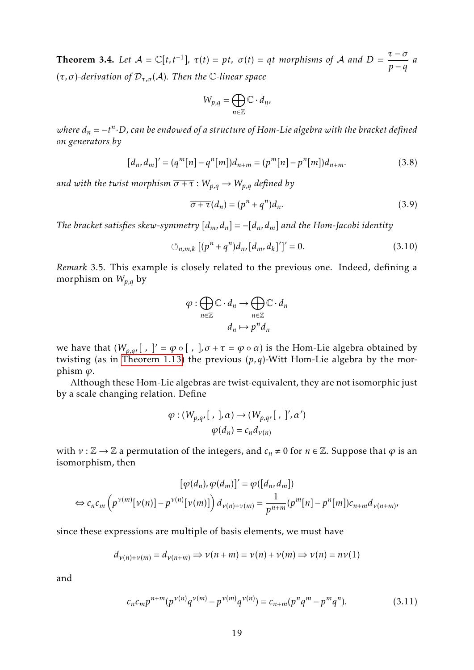**Theorem 3.4.** Let  $A = \mathbb{C}[t, t^{-1}], \tau(t) = pt, \sigma(t) = qt$  *morphisms of* A and D = *τ* − *σ*  $\frac{c}{p-q}$  *a* (*τ, σ*)*-derivation of* D*τ,σ* (A)*. Then the* C*-linear space*

$$
W_{p,q} = \bigoplus_{n \in \mathbb{Z}} \mathbb{C} \cdot d_n,
$$

*where d<sup>n</sup>* = −*t n* ·*D, can be endowed of a structure of Hom-Lie algebra with the bracket defined on generators by*

$$
[d_n, d_m]' = (q^m[n] - q^n[m])d_{n+m} = (p^m[n] - p^n[m])d_{n+m}.
$$
 (3.8)

*and with the twist morphism*  $\overline{\sigma + \tau}$  :  $W_{p,q} \to W_{p,q}$  *defined by* 

$$
\overline{\sigma + \tau}(d_n) = (p^n + q^n) d_n.
$$
\n(3.9)

*The bracket satisfies skew-symmetry*  $[d_m, d_n] = -[d_n, d_m]$  *and the Hom-Jacobi identity* 

$$
\circlearrowleft_{n,m,k} [(p^n + q^n) d_n, [d_m, d_k]']' = 0. \tag{3.10}
$$

*Remark* 3.5*.* This example is closely related to the previous one. Indeed, defining a morphism on *Wp,q* by

$$
\varphi : \bigoplus_{n \in \mathbb{Z}} \mathbb{C} \cdot d_n \to \bigoplus_{n \in \mathbb{Z}} \mathbb{C} \cdot d_n
$$

$$
d_n \mapsto p^n d_n
$$

we have that  $(W_{p,q},[ , ]' = \varphi \circ [ , ]$ ,  $\overline{\sigma + \tau} = \varphi \circ \alpha)$  is the Hom-Lie algebra obtained by twisting (as in [Theorem 1.13\)](#page-6-0) the previous (*p,q*)-Witt Hom-Lie algebra by the morphism *ϕ*.

Although these Hom-Lie algebras are twist-equivalent, they are not isomorphic just by a scale changing relation. Define

$$
\varphi : (W_{p,q}, [~,~], \alpha) \to (W_{p,q}, [~,~]', \alpha')
$$
  

$$
\varphi(d_n) = c_n d_{\nu(n)}
$$

with  $v : \mathbb{Z} \to \mathbb{Z}$  a permutation of the integers, and  $c_n \neq 0$  for  $n \in \mathbb{Z}$ . Suppose that  $\varphi$  is an isomorphism, then

$$
[\varphi(d_n), \varphi(d_m)]' = \varphi([d_n, d_m])
$$
  
\n
$$
\Leftrightarrow c_n c_m \left( p^{\nu(m)}[\nu(n)] - p^{\nu(n)}[\nu(m)] \right) d_{\nu(n)+\nu(m)} = \frac{1}{p^{n+m}} (p^m[n] - p^n[m]) c_{n+m} d_{\nu(n+m)},
$$

since these expressions are multiple of basis elements, we must have

$$
d_{\nu(n)+\nu(m)} = d_{\nu(n+m)} \Rightarrow \nu(n+m) = \nu(n) + \nu(m) \Rightarrow \nu(n) = n\nu(1)
$$

and

<span id="page-18-0"></span>
$$
c_n c_m p^{n+m} (p^{\nu(n)} q^{\nu(m)} - p^{\nu(m)} q^{\nu(n)}) = c_{n+m} (p^n q^m - p^m q^n). \tag{3.11}
$$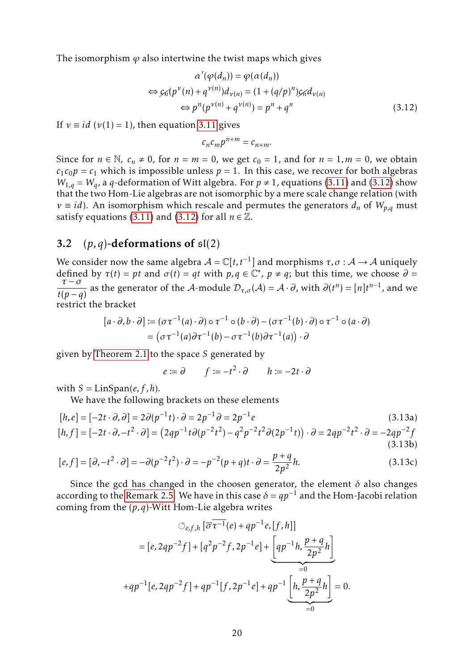The isomorphism  $\varphi$  also intertwine the twist maps which gives

$$
\alpha'(\varphi(d_n)) = \varphi(\alpha(d_n))
$$
  
\n
$$
\Leftrightarrow \varphi_n(p^{\nu}(n) + q^{\nu(n)})d_{\nu(n)} = (1 + (q/p)^n)\varphi_n d_{\nu(n)}
$$
  
\n
$$
\Leftrightarrow p^n(p^{\nu(n)} + q^{\nu(n)}) = p^n + q^n
$$
\n(3.12)

If  $v \equiv id$  ( $v(1) = 1$ ), then equation [3.11](#page-18-0) gives

<span id="page-19-0"></span>
$$
c_n c_m p^{n+m} = c_{n+m}.
$$

Since for  $n \in \mathbb{N}$ ,  $c_n \neq 0$ , for  $n = m = 0$ , we get  $c_0 = 1$ , and for  $n = 1, m = 0$ , we obtain  $c_1c_0p = c_1$  which is impossible unless  $p = 1$ . In this case, we recover for both algebras  $W_{1,q} = W_q$ , a *q*-deformation of Witt algebra. For  $p \neq 1$ , equations [\(3.11\)](#page-18-0) and [\(3.12\)](#page-19-0) show that the two Hom-Lie algebras are not isomorphic by a mere scale change relation (with  $\nu \equiv id$ ). An isomorphism which rescale and permutes the generators  $d_n$  of  $W_{n,q}$  must satisfy equations [\(3.11\)](#page-18-0) and [\(3.12\)](#page-19-0) for all  $n \in \mathbb{Z}$ .

#### 3.2  $(p,q)$ -deformations of  $\mathfrak{sl}(2)$

We consider now the same algebra  $\mathcal{A} = \mathbb{C}[t, t^{-1}]$  and morphisms  $\tau, \sigma : \mathcal{A} \to \mathcal{A}$  uniquely defined by  $\tau(t) = pt$  and  $\sigma(t) = qt$  with  $p, q \in \mathbb{C}^*$ ,  $p \neq q$ ; but this time, we choose  $\partial =$ *τ* − *σ*  $\frac{\tau - \sigma}{t(p - q)}$  as the generator of the A-module  $\mathcal{D}_{\tau, \sigma}(\mathcal{A}) = \mathcal{A} \cdot \partial$ , with  $\partial(t^n) = [n]t^{n-1}$ , and we restrict the bracket

$$
[a \cdot \partial, b \cdot \partial] := (\sigma \tau^{-1}(a) \cdot \partial) \circ \tau^{-1} \circ (b \cdot \partial) - (\sigma \tau^{-1}(b) \cdot \partial) \circ \tau^{-1} \circ (a \cdot \partial)
$$
  
= 
$$
(\sigma \tau^{-1}(a) \partial \tau^{-1}(b) - \sigma \tau^{-1}(b) \partial \tau^{-1}(a)) \cdot \partial
$$

given by [Theorem 2.1](#page-8-1) to the space *S* generated by

<span id="page-19-1"></span> $e := \partial$   $f := -t^2 \cdot \partial$   $h := -2t \cdot \partial$ 

with  $S = \text{LinSpan}(e, f, h)$ .

We have the following brackets on these elements

$$
[h, e] = [-2t \cdot \partial, \partial] = 2\partial(p^{-1}t) \cdot \partial = 2p^{-1}\partial = 2p^{-1}e
$$
\n
$$
[h, f] = [-2t \cdot \partial, -t^2 \cdot \partial] = (2qp^{-1}t\partial(p^{-2}t^2) - q^2p^{-2}t^2\partial(2p^{-1}t)) \cdot \partial = 2qp^{-2}t^2 \cdot \partial = -2qp^{-2}f
$$
\n(3.13a)\n(3.13b)

$$
[e,f] = [\partial, -t^2 \cdot \partial] = -\partial(p^{-2}t^2) \cdot \partial = -p^{-2}(p+q)t \cdot \partial = \frac{p+q}{2p^2}h.
$$
 (3.13c)

Since the gcd has changed in the choosen generator, the element  $\delta$  also changes according to the [Remark 2.5.](#page-12-0) We have in this case  $\delta = qp^{-1}$  and the Hom-Jacobi relation coming from the (*p,q*)-Witt Hom-Lie algebra writes

$$
\circlearrowleft_{e,f,h} [\overline{\sigma} \overline{\tau^{-1}}(e) + qp^{-1}e, [f,h]]
$$
\n
$$
= [e, 2qp^{-2}f] + [q^2p^{-2}f, 2p^{-1}e] + \underbrace{\left[qp^{-1}h, \frac{p+q}{2p^2}h\right]}_{=0}
$$
\n
$$
+ qp^{-1}[e, 2qp^{-2}f] + qp^{-1}[f, 2p^{-1}e] + qp^{-1}\underbrace{\left[h, \frac{p+q}{2p^2}h\right]}_{=0} = 0.
$$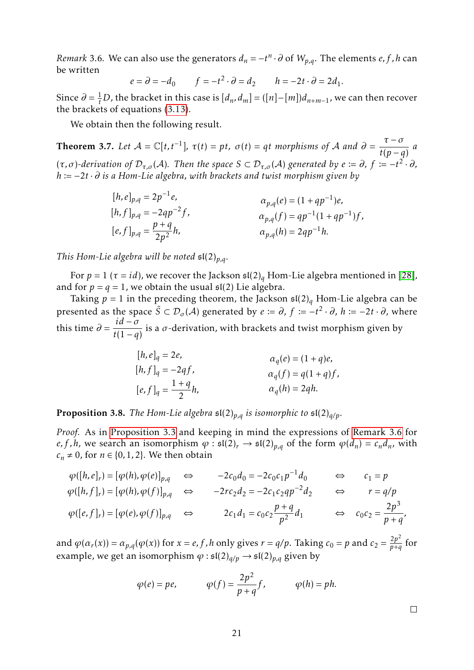<span id="page-20-2"></span><span id="page-20-0"></span>*Remark* 3.6. We can also use the generators  $d_n = -t^n \cdot \partial$  of  $W_{p,q}$ . The elements *e, f , h* can be written

$$
e = \partial = -d_0 \qquad f = -t^2 \cdot \partial = d_2 \qquad h = -2t \cdot \partial = 2d_1.
$$

Since  $\partial = \frac{1}{t}D$ , the bracket in this case is  $[d_n, d_m] = ([n] - [m])d_{n+m-1}$ , we can then recover the brackets of equations [\(3.13\)](#page-19-1).

We obtain then the following result.

<span id="page-20-1"></span>**Theorem 3.7.** Let  $A = \mathbb{C}[t, t^{-1}], \tau(t) = pt, \sigma(t) = qt$  morphisms of A and  $\partial =$ *τ* − *σ*  $\frac{c}{t(p-q)}$  *a*  $(\tau, \sigma)$ -derivation of  $\mathcal{D}_{\tau, \sigma}(\mathcal{A})$ . Then the space  $S \subset \mathcal{D}_{\tau, \sigma}(\mathcal{A})$  generated by  $e := \partial, f := -t^2 \cdot \partial,$ *h*  $:=$  −2*t* · *∂ is a Hom-Lie algebra, with brackets and twist morphism given by* 

$$
[h, e]_{p,q} = 2p^{-1}e,
$$
  
\n
$$
[h, f]_{p,q} = -2qp^{-2}f,
$$
  
\n
$$
[e, f]_{p,q} = \frac{p+q}{2p^2}h,
$$
  
\n
$$
\alpha_{p,q}(f) = qp^{-1}(1+qp^{-1})f,
$$
  
\n
$$
\alpha_{p,q}(h) = 2qp^{-1}h.
$$

*This Hom-Lie algebra will be noted* sl(2)*p,q.*

For  $p = 1$  ( $\tau = id$ ), we recover the Jackson  $\mathfrak{sl}(2)_q$  Hom-Lie algebra mentioned in [\[28\]](#page-28-5), and for  $p = q = 1$ , we obtain the usual  $\mathfrak{sl}(2)$  Lie algebra.

Taking  $p = 1$  in the preceding theorem, the Jackson  $\mathfrak{sl}(2)_q$  Hom-Lie algebra can be presented as the space  $\tilde{S} \subset \mathcal{D}_{\sigma}(\mathcal{A})$  generated by  $e \coloneqq \partial$ ,  $f \coloneqq -t^2 \cdot \partial$ ,  $h \coloneqq -2t \cdot \partial$ , where this time *∂* =  $id - \sigma$  $\frac{1}{t(1-q)}$  is a *σ*-derivation, with brackets and twist morphism given by

$$
[h, e]_q = 2e,
$$
  
\n
$$
[h, f]_q = -2qf,
$$
  
\n
$$
[e, f]_q = \frac{1+q}{2}h,
$$
  
\n
$$
\alpha_q(f) = q(1+q)f,
$$
  
\n
$$
\alpha_q(h) = 2qh.
$$

**Proposition 3.8.** *The Hom-Lie algebra*  $\mathfrak{sl}(2)_{p,q}$  *is isomorphic to*  $\mathfrak{sl}(2)_{q/p}$ *.* 

*Proof.* As in [Proposition 3.3](#page-17-0) and keeping in mind the expressions of [Remark 3.6](#page-20-0) for *e, f, h,* we search an isomorphism  $\varphi$  :  $\mathfrak{sl}(2)_r \to \mathfrak{sl}(2)_{p,q}$  of the form  $\varphi(d_n) = c_n d_n$ , with  $c<sub>n</sub> ≠ 0$ , for *n* ∈ {0, 1, 2}. We then obtain

$$
\varphi([h,e]_r) = [\varphi(h), \varphi(e)]_{p,q} \Leftrightarrow -2c_0d_0 = -2c_0c_1p^{-1}d_0 \Leftrightarrow c_1 = p
$$
  

$$
\varphi([h,f]_r) = [\varphi(h), \varphi(f)]_{p,q} \Leftrightarrow -2rc_2d_2 = -2c_1c_2qp^{-2}d_2 \Leftrightarrow r = q/p
$$
  

$$
\varphi([e,f]_r) = [\varphi(e), \varphi(f)]_{p,q} \Leftrightarrow 2c_1d_1 = c_0c_2\frac{p+q}{p^2}d_1 \Leftrightarrow c_0c_2 = \frac{2p^3}{p+q},
$$

and  $\varphi(\alpha_r(x)) = \alpha_{p,q}(\varphi(x))$  for  $x = e, f, h$  only gives  $r = q/p$ . Taking  $c_0 = p$  and  $c_2 = \frac{2p^2}{p+q}$  $\frac{2p}{p+q}$  for example, we get an isomorphism  $\varphi$  :  $\mathfrak{sl}(2)_{q/p} \to \mathfrak{sl}(2)_{p,q}$  given by

$$
\varphi(e) = pe,
$$
\n
$$
\varphi(f) = \frac{2p^2}{p+q}f,
$$
\n
$$
\varphi(h) = ph.
$$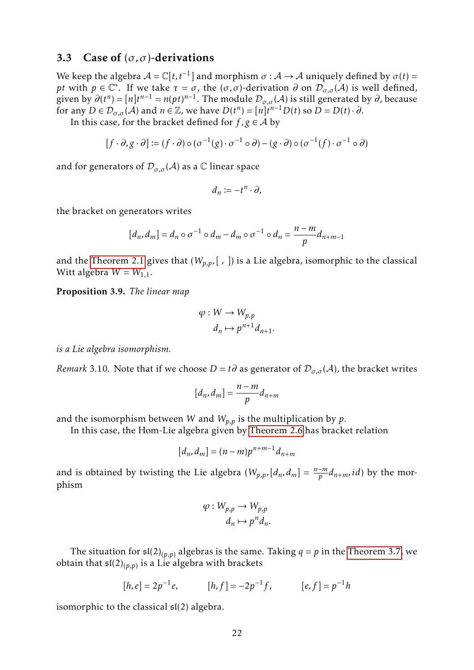#### 3.3 Case of (*σ, σ*)-derivations

We keep the algebra  $A = \mathbb{C}[t, t^{-1}]$  and morphism  $\sigma : A \to A$  uniquely defined by  $\sigma(t) =$ *pt* with  $p \in \mathbb{C}^*$ . If we take  $\tau = \sigma$ , the  $(\sigma, \sigma)$ -derivation  $\partial$  on  $\mathcal{D}_{\sigma, \sigma}(\mathcal{A})$  is well defined, given by  $\partial(t^n) = [n]t^{n-1} = n(pt)^{n-1}$ . The module  $\mathcal{D}_{\sigma,\sigma}(\mathcal{A})$  is still generated by  $\partial$ , because for any  $D \in \mathcal{D}_{\sigma,\sigma}(\mathcal{A})$  and  $n \in \mathbb{Z}$ , we have  $D(t^n) = [n]t^{n-1}D(t)$  so  $D = D(t) \cdot \partial$ .

In this case, for the bracket defined for  $f, g \in A$  by

$$
[f \cdot \partial, g \cdot \partial] \coloneqq (f \cdot \partial) \circ (\sigma^{-1}(g) \cdot \sigma^{-1} \circ \partial) - (g \cdot \partial) \circ (\sigma^{-1}(f) \cdot \sigma^{-1} \circ \partial)
$$

and for generators of  $\mathcal{D}_{\sigma,\sigma}(\mathcal{A})$  as a  $\mathbb C$  linear space

$$
d_n:=-t^n\cdot\partial,
$$

the bracket on generators writes

$$
[d_n, d_m] = d_n \circ \sigma^{-1} \circ d_m - d_m \circ \sigma^{-1} \circ d_n = \frac{n-m}{p} d_{n+m-1}
$$

and the [Theorem 2.1](#page-8-1) gives that  $(W_{p,p},[ , ])$  is a Lie algebra, isomorphic to the classical Witt algebra  $W = W_{1,1}$ .

Proposition 3.9. *The linear map*

$$
\varphi: W \to W_{p,p}
$$

$$
d_n \mapsto p^{n+1} d_{n+1}.
$$

*is a Lie algebra isomorphism.*

*Remark* 3.10. Note that if we choose  $D = t\partial$  as generator of  $\mathcal{D}_{\sigma,\sigma}(\mathcal{A})$ , the bracket writes

$$
[d_n, d_m] = \frac{n-m}{p} d_{n+m}
$$

and the isomorphism between *W* and  $W_{p,p}$  is the multiplication by *p*.

In this case, the Hom-Lie algebra given by [Theorem 2.6](#page-13-0) has bracket relation

$$
[d_n, d_m] = (n-m)p^{n+m-1}d_{n+m}
$$

and is obtained by twisting the Lie algebra  $(W_{p,p},[d_n,d_m] = \frac{n-m}{p}d_{n+m},id)$  by the morphism

$$
\varphi: W_{p,p} \to W_{p,p}
$$

$$
d_n \mapsto p^n d_n.
$$

The situation for  $\mathfrak{sl}(2)_{(p,p)}$  algebras is the same. Taking  $q = p$  in the [Theorem 3.7,](#page-20-1) we obtain that sl(2)(*p,p*) is a Lie algebra with brackets

$$
[h, e] = 2p^{-1}e, \qquad [h, f] = -2p^{-1}f, \qquad [e, f] = p^{-1}h
$$

isomorphic to the classical  $\mathfrak{sl}(2)$  algebra.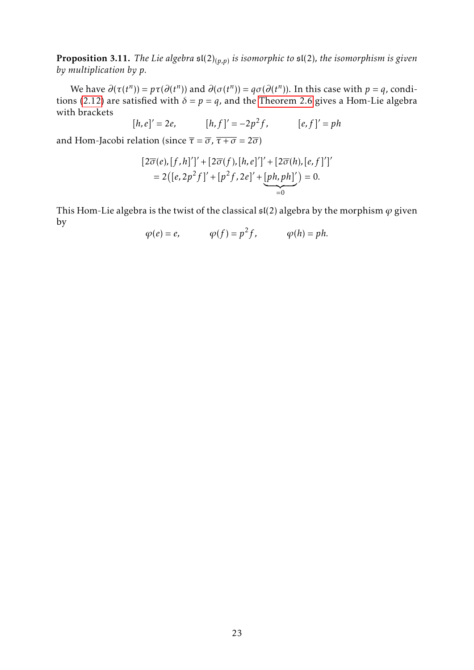Proposition 3.11. *The Lie algebra* sl(2)(*p,p*) *is isomorphic to* sl(2)*, the isomorphism is given by multiplication by p.*

We have  $\partial(\tau(t^n)) = p\tau(\partial(t^n))$  and  $\partial(\sigma(t^n)) = q\sigma(\partial(t^n))$ . In this case with  $p = q$ , condi-tions [\(2.12\)](#page-13-1) are satisfied with  $\delta = p = q$ , and the [Theorem 2.6](#page-13-0) gives a Hom-Lie algebra with brackets

$$
[h,e]' = 2e, \t[h,f]' = -2p^2f, \t[e,f]' = ph
$$

and Hom-Jacobi relation (since  $\overline{\tau} = \overline{\sigma}$ ,  $\overline{\tau + \sigma} = 2\overline{\sigma}$ )

$$
[2\overline{\sigma}(e), [f, h]']' + [2\overline{\sigma}(f), [h, e]']' + [2\overline{\sigma}(h), [e, f]']'
$$
  
= 2([e, 2p<sup>2</sup>f]' + [p<sup>2</sup>f, 2e]' + [ph, ph]') = 0.

This Hom-Lie algebra is the twist of the classical  $\mathfrak{sl}(2)$  algebra by the morphism  $\varphi$  given by

$$
\varphi(e) = e, \qquad \varphi(f) = p^2 f, \qquad \varphi(h) = p h.
$$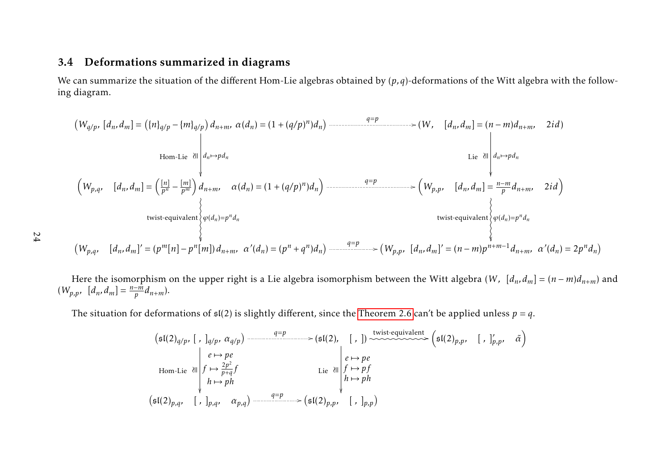### 3.4 Deformations summarized in diagrams

We can summarize the situation of the di fferent Hom-Lie algebras obtained by (*p,q*)-deformations of the Witt algebra with the following diagram.

$$
(W_{q/p}, [d_n, d_m] = (\{n\}_{q/p} - \{m\}_{q/p}) d_{n+m}, \alpha(d_n) = (1 + (q/p)^n) d_n)
$$
\n
$$
\text{Hom-Lie} \begin{cases}\n\text{H}_{q,p} = \begin{pmatrix}\n\frac{1}{2} & \text{if } n \text{ is odd, } \\
\frac{1}{2} & \text{if } n \text{ is odd, } \\
\frac{1}{2} & \text{if } n \text{ is odd, } \\
\frac{1}{2} & \text{if } n \text{ is odd, } \\
\frac{1}{2} & \text{if } n \text{ is odd, } \\
\frac{1}{2} & \text{if } n \text{ is odd, } \\
\frac{1}{2} & \text{if } n \text{ is odd, } \\
\frac{1}{2} & \text{if } n \text{ is odd, } \\
\frac{1}{2} & \text{if } n \text{ is odd, } \\
\frac{1}{2} & \text{if } n \text{ is odd, } \\
\frac{1}{2} & \text{if } n \text{ is odd, } \\
\frac{1}{2} & \text{if } n \text{ is odd, } \\
\frac{1}{2} & \text{if } n \text{ is odd, } \\
\frac{1}{2} & \text{if } n \text{ is odd, } \\
\frac{1}{2} & \text{if } n \text{ is odd, } \\
\frac{1}{2} & \text{if } n \text{ is odd, } \\
\frac{1}{2} & \text{if } n \text{ is odd, } \\
\frac{1}{2} & \text{if } n \text{ is odd, } \\
\frac{1}{2} & \text{if } n \text{ is odd, } \\
\frac{1}{2} & \text{if } n \text{ is odd, } \\
\frac{1}{2} & \text{if } n \text{ is odd, } \\
\frac{1}{2} & \text{if } n \text{ is odd, } \\
\frac{1}{2} & \text{if } n \text{ is odd, } \\
\frac{1}{2} & \text{if } n \text{ is odd, } \\
\frac{1}{2} & \text{if } n \text{ is odd, } \\
\frac{1}{2} & \text{if } n \text{ is odd, } \\
\frac{1}{2} & \text{if } n \text{ is odd, } \\
\frac{1}{2} & \text{if } n \text{ is odd
$$

24

Here the isomorphism on the upper right is <sup>a</sup> Lie algebra isomorphism between the Witt algebra (*<sup>W</sup> ,* [*d<sup>n</sup>, d<sup>m</sup>*] <sup>=</sup> ( *n*−*<sup>m</sup>*)*dn*+*<sup>m</sup>*) and $(W_{p,p}, [d_n, d_m]) =$ *n*− *m* $\frac{-m}{p}d_{n+m}$ ).

The situation for deformations of  $\mathfrak{sl}(2)$  is slightly different, since the [Theorem](#page-13-2) 2.6 can't be applied unless  $p=q.$ 

<span id="page-23-0"></span>
$$
(\mathfrak{sl}(2)_{q/p}, [ , ]_{q/p}, \alpha_{q/p}) \xrightarrow{q=p} (\mathfrak{sl}(2), [ , ]) \xrightarrow{\text{twist-equivalent}} (\mathfrak{sl}(2)_{p,p}, [ , ]_{p,p}, \tilde{\alpha})
$$
  
\n
$$
\downarrow e \mapsto pe
$$
  
\nHom-Lie all  $f \mapsto \frac{2p^2}{p+q}f$   
\n $\downarrow h \mapsto ph$   
\n
$$
(\mathfrak{sl}(2)_{p,q}, [ , ]_{p,q}, \alpha_{p,q}) \xrightarrow{q=p} (\mathfrak{sl}(2)_{p,p}, [ , ]_{p,p})
$$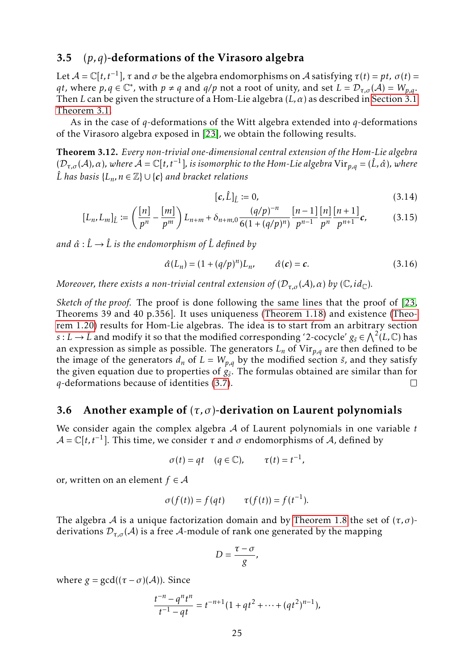### <span id="page-24-1"></span>3.5 (*p,q*)-deformations of the Virasoro algebra

Let  $A = \mathbb{C}[t, t^{-1}]$ ,  $\tau$  and  $\sigma$  be the algebra endomorphisms on  $A$  satisfying  $\tau(t) = pt$ ,  $\sigma(t) =$ *qt*, where  $p, q \in \mathbb{C}^*$ , with  $p \neq q$  and  $q/p$  not a root of unity, and set  $L = \mathcal{D}_{\tau,\sigma}(\mathcal{A}) = W_{p,q}$ . Then *L* can be given the structure of a Hom-Lie algebra (*L,α*) as described in [Section 3.1](#page-14-1) [Theorem 3.1.](#page-16-1)

As in the case of *q*-deformations of the Witt algebra extended into *q*-deformations of the Virasoro algebra exposed in [\[23\]](#page-28-3), we obtain the following results.

Theorem 3.12. *Every non-trivial one-dimensional central extension of the Hom-Lie algebra*  $(D_{τ,σ}(A), α)$ , where  $A = \mathbb{C}[t, t^{-1}]$ , is isomorphic to the Hom-Lie algebra  $\mathrm{Vir}_{p,q} = (\hat{L}, \hat{α})$ , where  $\hat{L}$  *has basis* { $L_n$ , *n* ∈  $\mathbb{Z}$ } ∪ {*c*} *and bracket relations* 

$$
[\mathbf{c}, \hat{L}]_{\hat{L}} \coloneqq 0,\tag{3.14}
$$

$$
[L_n, L_m]_{\hat{L}} := \left(\frac{[n]}{p^n} - \frac{[m]}{p^m}\right) L_{n+m} + \delta_{n+m,0} \frac{(q/p)^{-n}}{6(1 + (q/p)^n)} \frac{[n-1]}{p^{n-1}} \frac{[n]}{p^n} \frac{[n+1]}{p^{n+1}} c,\tag{3.15}
$$

*and α*ˆ : *L*ˆ → *L*ˆ *is the endomorphism of L*ˆ *defined by*

$$
\hat{\alpha}(L_n) = (1 + (q/p)^n)L_n, \qquad \hat{\alpha}(c) = c.
$$
\n(3.16)

*Moreover, there exists a non-trivial central extension of*  $(D_{\tau,\sigma}(A), \alpha)$  *by* ( $\mathbb{C}, id_{\mathbb{C}}$ ).

*Sketch of the proof.* The proof is done following the same lines that the proof of [\[23,](#page-28-3) Theorems 39 and 40 p.356]. It uses uniqueness [\(Theorem 1.18\)](#page-7-1) and existence [\(Theo](#page-7-2)[rem 1.20\)](#page-7-2) results for Hom-Lie algebras. The idea is to start from an arbitrary section *s* : *L*  $\rightarrow$  *L*̂ and modify it so that the modified corresponding '2-cocycle'  $g_{\tilde{s}} \in \bigwedge^2(L,\mathbb{C})$  has an expression as simple as possible. The generators  $L_n$  of  $Vir_{p,q}$  are then defined to be the image of the generators  $d_n$  of  $L = W_{p,q}$  by the modified section  $\tilde{s}$ , and they satisfy the given equation due to properties of  $g_{\tilde{s}}$ . The formulas obtained are similar than for *q*-deformations because of identities [\(3.7\)](#page-16-0).  $\Box$ 

#### <span id="page-24-0"></span>3.6 Another example of  $(\tau, \sigma)$ -derivation on Laurent polynomials

We consider again the complex algebra A of Laurent polynomials in one variable *t*  $A = \mathbb{C}[t, t^{-1}]$ . This time, we consider  $\tau$  and  $\sigma$  endomorphisms of A, defined by

$$
\sigma(t) = qt \quad (q \in \mathbb{C}), \qquad \tau(t) = t^{-1},
$$

or, written on an element  $f \in \mathcal{A}$ 

$$
\sigma(f(t)) = f(qt) \qquad \tau(f(t)) = f(t^{-1}).
$$

The algebra A is a unique factorization domain and by [Theorem 1.8](#page-4-1) the set of  $(\tau, \sigma)$ derivations  $\mathcal{D}_{\tau,\sigma}(\mathcal{A})$  is a free  $\mathcal{A}$ -module of rank one generated by the mapping

$$
D=\frac{\tau-\sigma}{g},
$$

where  $g = \gcd((\tau - \sigma)(\mathcal{A}))$ . Since

$$
\frac{t^{-n} - q^n t^n}{t^{-1} - qt} = t^{-n+1} (1 + qt^2 + \dots + (qt^2)^{n-1}),
$$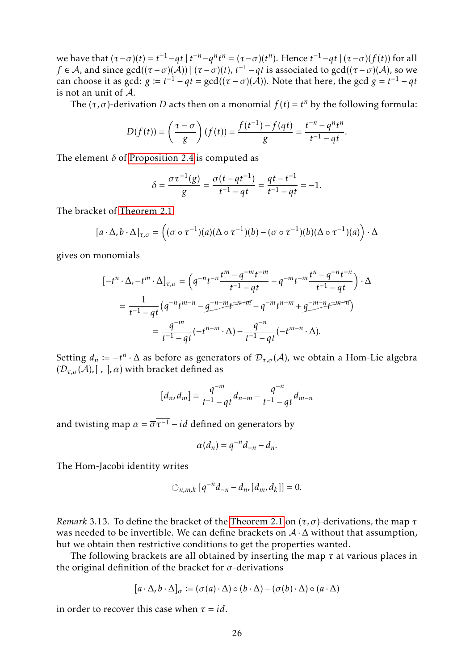we have that  $(\tau-\sigma)(t) = t^{-1} - qt \mid t^{-n} - q^n t^n = (\tau-\sigma)(t^n)$ . Hence  $t^{-1} - qt \mid (\tau-\sigma)(f(t))$  for all *f* ∈ *A*, and since gcd(( $(\tau - \sigma)(\mathcal{A})$ ) | ( $\tau - \sigma$ )( $t$ ),  $t^{-1} - qt$  is associated to gcd(( $\tau - \sigma$ )( $\mathcal{A}$ ), so we can choose it as  $gcd: g := t^{-1} - qt = gcd((\tau - \sigma)(\mathcal{A}))$ . Note that here, the gcd  $g = t^{-1} - qt$ is not an unit of A.

The  $(\tau, \sigma)$ -derivation *D* acts then on a monomial  $f(t) = t^n$  by the following formula:

$$
D(f(t)) = \left(\frac{\tau - \sigma}{g}\right)(f(t)) = \frac{f(t^{-1}) - f(qt)}{g} = \frac{t^{-n} - q^n t^n}{t^{-1} - qt}.
$$

The element  $\delta$  of [Proposition 2.4](#page-11-0) is computed as

$$
\delta = \frac{\sigma \tau^{-1}(g)}{g} = \frac{\sigma(t - qt^{-1})}{t^{-1} - qt} = \frac{qt - t^{-1}}{t^{-1} - qt} = -1.
$$

The bracket of [Theorem 2.1](#page-8-1)

$$
[a \cdot \Delta, b \cdot \Delta]_{\tau, \sigma} = ((\sigma \circ \tau^{-1})(a)(\Delta \circ \tau^{-1})(b) - (\sigma \circ \tau^{-1})(b)(\Delta \circ \tau^{-1})(a)) \cdot \Delta
$$

gives on monomials

$$
[-t^n \cdot \Delta, -t^m \cdot \Delta]_{\tau,\sigma} = \left(q^{-n}t^{-n}\frac{t^m - q^{-m}t^{-m}}{t^{-1} - qt} - q^{-m}t^{-m}\frac{t^n - q^{-n}t^{-n}}{t^{-1} - qt}\right) \cdot \Delta
$$
  
= 
$$
\frac{1}{t^{-1} - qt} \left(q^{-n}t^{m-n} - q^{-n-m}t^{-n-m} - q^{-m}t^{n-m} + q^{-m-n}t^{-m-n}\right)
$$
  
= 
$$
\frac{q^{-m}}{t^{-1} - qt}(-t^{n-m} \cdot \Delta) - \frac{q^{-n}}{t^{-1} - qt}(-t^{m-n} \cdot \Delta).
$$

Setting  $d_n := -t^n \cdot \Delta$  as before as generators of  $\mathcal{D}_{\tau,\sigma}(\mathcal{A})$ , we obtain a Hom-Lie algebra  $(D_{\tau,\sigma}(\mathcal{A}),$ [, ],  $\alpha)$  with bracket defined as

$$
[d_n, d_m] = \frac{q^{-m}}{t^{-1} - qt} d_{n-m} - \frac{q^{-n}}{t^{-1} - qt} d_{m-n}
$$

and twisting map  $\alpha = \overline{\sigma} \overline{\tau^{-1}} - id$  defined on generators by

$$
\alpha(d_n) = q^{-n} d_{-n} - d_n.
$$

The Hom-Jacobi identity writes

$$
\circlearrowleft_{n,m,k} [q^{-n} d_{-n} - d_n, [d_m, d_k]] = 0.
$$

*Remark* 3.13*.* To define the bracket of the [Theorem 2.1](#page-8-1) on (*τ, σ*)-derivations, the map *τ* was needed to be invertible. We can define brackets on  $A \cdot \Delta$  without that assumption, but we obtain then restrictive conditions to get the properties wanted.

The following brackets are all obtained by inserting the map *τ* at various places in the original definition of the bracket for *σ*-derivations

$$
[a \cdot \Delta, b \cdot \Delta]_{\sigma} \coloneqq (\sigma(a) \cdot \Delta) \circ (b \cdot \Delta) - (\sigma(b) \cdot \Delta) \circ (a \cdot \Delta)
$$

in order to recover this case when  $\tau = id$ .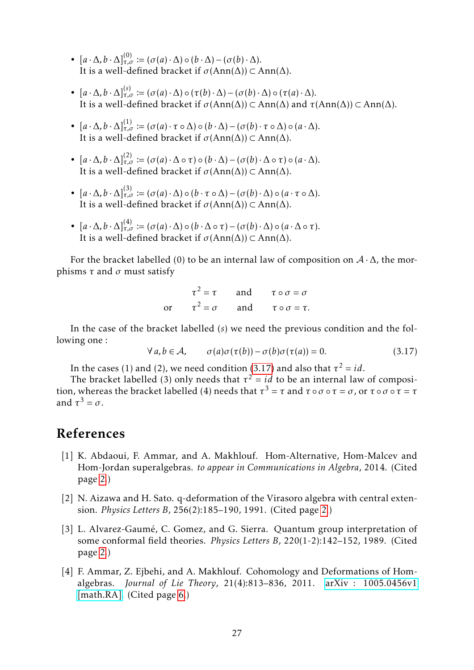- $[a \cdot \Delta, b \cdot \Delta]_{\tau,\sigma}^{(0)} := (\sigma(a) \cdot \Delta) \circ (b \cdot \Delta) (\sigma(b) \cdot \Delta).$ It is a well-defined bracket if  $\sigma(\text{Ann}(\Delta)) \subset \text{Ann}(\Delta)$ .
- $[a \cdot \Delta, b \cdot \Delta]_{\tau,\sigma}^{(s)} := (\sigma(a) \cdot \Delta) \circ (\tau(b) \cdot \Delta) (\sigma(b) \cdot \Delta) \circ (\tau(a) \cdot \Delta).$ It is a well-defined bracket if *σ*(Ann(∆)) ⊂ Ann(∆) and *τ*(Ann(∆)) ⊂ Ann(∆).
- $[a \cdot \Delta, b \cdot \Delta]_{\tau,\sigma}^{(1)} := (\sigma(a) \cdot \tau \circ \Delta) \circ (b \cdot \Delta) (\sigma(b) \cdot \tau \circ \Delta) \circ (a \cdot \Delta).$ It is a well-defined bracket if *σ*(Ann(∆)) ⊂ Ann(∆).
- $[a \cdot \Delta, b \cdot \Delta]_{\tau,\sigma}^{(2)} := (\sigma(a) \cdot \Delta \circ \tau) \circ (b \cdot \Delta) (\sigma(b) \cdot \Delta \circ \tau) \circ (a \cdot \Delta).$ It is a well-defined bracket if *σ*(Ann(∆)) ⊂ Ann(∆).
- $[a \cdot \Delta, b \cdot \Delta]_{\tau,\sigma}^{(3)} := (\sigma(a) \cdot \Delta) \circ (b \cdot \tau \circ \Delta) (\sigma(b) \cdot \Delta) \circ (a \cdot \tau \circ \Delta).$ It is a well-defined bracket if  $\sigma(\text{Ann}(\Delta)) \subset \text{Ann}(\Delta)$ .
- $[a \cdot \Delta, b \cdot \Delta]_{\tau,\sigma}^{(4)} := (\sigma(a) \cdot \Delta) \circ (b \cdot \Delta \circ \tau) (\sigma(b) \cdot \Delta) \circ (a \cdot \Delta \circ \tau).$ It is a well-defined bracket if  $\sigma(\text{Ann}(\Delta)) \subset \text{Ann}(\Delta)$ .

For the bracket labelled (0) to be an internal law of composition on  $A \cdot \Delta$ , the morphisms  $\tau$  and  $\sigma$  must satisfy

|  | $\tau^2 = \tau$ and $\tau \circ \sigma = \sigma$      |
|--|-------------------------------------------------------|
|  | or $\tau^2 = \sigma$ and $\tau \circ \sigma = \tau$ . |

In the case of the bracket labelled (*s*) we need the previous condition and the following one :

<span id="page-26-4"></span>
$$
\forall a, b \in \mathcal{A}, \qquad \sigma(a)\sigma(\tau(b)) - \sigma(b)\sigma(\tau(a)) = 0. \tag{3.17}
$$

In the cases (1) and (2), we need condition [\(3.17\)](#page-26-4) and also that  $\tau^2 = id$ .

The bracket labelled (3) only needs that  $\tau^2 = id$  to be an internal law of composition, whereas the bracket labelled (4) needs that  $\tau^3 = \tau$  and  $\tau \circ \sigma \circ \tau = \sigma$ , or  $\tau \circ \sigma \circ \tau = \tau$ and  $\tau^3 = \sigma$ .

# References

- <span id="page-26-2"></span>[1] K. Abdaoui, F. Ammar, and A. Makhlouf. Hom-Alternative, Hom-Malcev and Hom-Jordan superalgebras. *to appear in Communications in Algebra*, 2014. (Cited page [2.](#page-1-0))
- <span id="page-26-1"></span>[2] N. Aizawa and H. Sato. q-deformation of the Virasoro algebra with central extension. *Physics Letters B*, 256(2):185–190, 1991. (Cited page [2.](#page-1-0))
- <span id="page-26-0"></span>[3] L. Alvarez-Gaumé, C. Gomez, and G. Sierra. Quantum group interpretation of some conformal field theories. *Physics Letters B*, 220(1-2):142–152, 1989. (Cited page [2.](#page-1-0))
- <span id="page-26-3"></span>[4] F. Ammar, Z. Ejbehi, and A. Makhlouf. Cohomology and Deformations of Homalgebras. *Journal of Lie Theory*, 21(4):813–836, 2011. [arXiv : 1005.0456v1](http://arxiv.org/pdf/1005.0456.pdf) [\[math.RA\].](http://arxiv.org/pdf/1005.0456.pdf) (Cited page [6.](#page-5-1))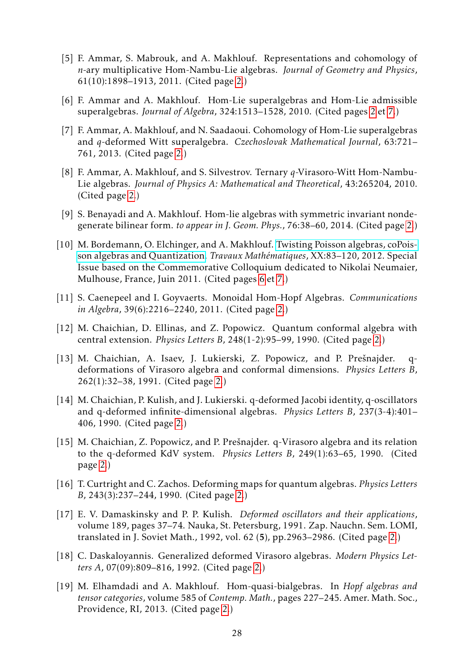- <span id="page-27-12"></span>[5] F. Ammar, S. Mabrouk, and A. Makhlouf. Representations and cohomology of *n*-ary multiplicative Hom-Nambu-Lie algebras. *Journal of Geometry and Physics*, 61(10):1898–1913, 2011. (Cited page [2.](#page-1-0))
- <span id="page-27-7"></span>[6] F. Ammar and A. Makhlouf. Hom-Lie superalgebras and Hom-Lie admissible superalgebras. *Journal of Algebra*, 324:1513–1528, 2010. (Cited pages [2](#page-1-0) et [7.](#page-6-1))
- <span id="page-27-11"></span>[7] F. Ammar, A. Makhlouf, and N. Saadaoui. Cohomology of Hom-Lie superalgebras and *q*-deformed Witt superalgebra. *Czechoslovak Mathematical Journal*, 63:721– 761, 2013. (Cited page [2.](#page-1-0))
- <span id="page-27-13"></span>[8] F. Ammar, A. Makhlouf, and S. Silvestrov. Ternary *q*-Virasoro-Witt Hom-Nambu-Lie algebras. *Journal of Physics A: Mathematical and Theoretical*, 43:265204, 2010. (Cited page [2.](#page-1-0))
- <span id="page-27-8"></span>[9] S. Benayadi and A. Makhlouf. Hom-lie algebras with symmetric invariant nondegenerate bilinear form. *to appear in J. Geom. Phys.*, 76:38–60, 2014. (Cited page [2.](#page-1-0))
- <span id="page-27-14"></span>[10] M. Bordemann, O. Elchinger, and A. Makhlouf. [Twisting Poisson algebras, coPois](http://wwwfr.uni.lu/content/download/56007/661490/file/bem.pdf)[son algebras and Quantization.](http://wwwfr.uni.lu/content/download/56007/661490/file/bem.pdf) *Travaux Mathématiques*, XX:83–120, 2012. Special Issue based on the Commemorative Colloquium dedicated to Nikolai Neumaier, Mulhouse, France, Juin 2011. (Cited pages [6](#page-5-1) et [7.](#page-6-1))
- <span id="page-27-9"></span>[11] S. Caenepeel and I. Goyvaerts. Monoidal Hom-Hopf Algebras. *Communications in Algebra*, 39(6):2216–2240, 2011. (Cited page [2.](#page-1-0))
- <span id="page-27-0"></span>[12] M. Chaichian, D. Ellinas, and Z. Popowicz. Quantum conformal algebra with central extension. *Physics Letters B*, 248(1-2):95–99, 1990. (Cited page [2.](#page-1-0))
- <span id="page-27-1"></span>[13] M. Chaichian, A. Isaev, J. Lukierski, Z. Popowicz, and P. Prešnajder. qdeformations of Virasoro algebra and conformal dimensions. *Physics Letters B*, 262(1):32–38, 1991. (Cited page [2.](#page-1-0))
- <span id="page-27-2"></span>[14] M. Chaichian, P. Kulish, and J. Lukierski. q-deformed Jacobi identity, q-oscillators and q-deformed infinite-dimensional algebras. *Physics Letters B*, 237(3-4):401– 406, 1990. (Cited page [2.](#page-1-0))
- <span id="page-27-3"></span>[15] M. Chaichian, Z. Popowicz, and P. Prešnajder. q-Virasoro algebra and its relation to the q-deformed KdV system. *Physics Letters B*, 249(1):63–65, 1990. (Cited page [2.](#page-1-0))
- <span id="page-27-4"></span>[16] T. Curtright and C. Zachos. Deforming maps for quantum algebras. *Physics Letters B*, 243(3):237–244, 1990. (Cited page [2.](#page-1-0))
- <span id="page-27-5"></span>[17] E. V. Damaskinsky and P. P. Kulish. *Deformed oscillators and their applications*, volume 189, pages 37–74. Nauka, St. Petersburg, 1991. Zap. Nauchn. Sem. LOMI, translated in J. Soviet Math., 1992, vol. 62 (5), pp.2963–2986. (Cited page [2.](#page-1-0))
- <span id="page-27-6"></span>[18] C. Daskaloyannis. Generalized deformed Virasoro algebras. *Modern Physics Letters A*, 07(09):809–816, 1992. (Cited page [2.](#page-1-0))
- <span id="page-27-10"></span>[19] M. Elhamdadi and A. Makhlouf. Hom-quasi-bialgebras. In *Hopf algebras and tensor categories*, volume 585 of *Contemp. Math.*, pages 227–245. Amer. Math. Soc., Providence, RI, 2013. (Cited page [2.](#page-1-0))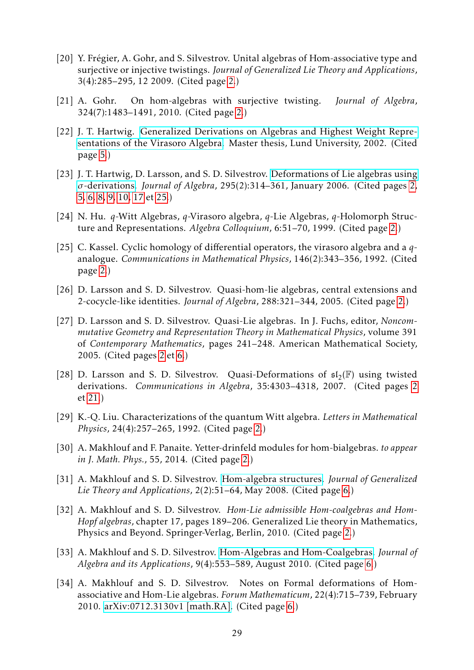- <span id="page-28-7"></span>[20] Y. Frégier, A. Gohr, and S. Silvestrov. Unital algebras of Hom-associative type and surjective or injective twistings. *Journal of Generalized Lie Theory and Applications*, 3(4):285–295, 12 2009. (Cited page [2.](#page-1-0))
- <span id="page-28-8"></span>[21] A. Gohr. On hom-algebras with surjective twisting. *Journal of Algebra*, 324(7):1483–1491, 2010. (Cited page [2.](#page-1-0))
- <span id="page-28-11"></span>[22] J. T. Hartwig. [Generalized Derivations on Algebras and Highest Weight Repre](https://sites.google.com/site/jonashartwig/xjobb1.pdf?attredirects=0)[sentations of the Virasoro Algebra.](https://sites.google.com/site/jonashartwig/xjobb1.pdf?attredirects=0) Master thesis, Lund University, 2002. (Cited page [5.](#page-4-3))
- <span id="page-28-3"></span>[23] J. T. Hartwig, D. Larsson, and S. D. Silvestrov. [Deformations of Lie algebras using](http://www.sciencedirect.com/science/article/pii/S0021869305005466) *σ*[-derivations.](http://www.sciencedirect.com/science/article/pii/S0021869305005466) *Journal of Algebra*, 295(2):314–361, January 2006. (Cited pages [2,](#page-1-0) [5,](#page-4-3) [6,](#page-5-1) [8,](#page-7-3) [9,](#page-8-8) [10,](#page-9-0) [17](#page-16-2) et [25.](#page-24-1))
- <span id="page-28-0"></span>[24] N. Hu. *q*-Witt Algebras, *q*-Virasoro algebra, *q*-Lie Algebras, *q*-Holomorph Structure and Representations. *Algebra Colloquium*, 6:51–70, 1999. (Cited page [2.](#page-1-0))
- <span id="page-28-1"></span>[25] C. Kassel. Cyclic homology of differential operators, the virasoro algebra and a *q*analogue. *Communications in Mathematical Physics*, 146(2):343–356, 1992. (Cited page [2.](#page-1-0))
- <span id="page-28-6"></span>[26] D. Larsson and S. D. Silvestrov. Quasi-hom-lie algebras, central extensions and 2-cocycle-like identities. *Journal of Algebra*, 288:321–344, 2005. (Cited page [2.](#page-1-0))
- <span id="page-28-4"></span>[27] D. Larsson and S. D. Silvestrov. Quasi-Lie algebras. In J. Fuchs, editor, *Noncommutative Geometry and Representation Theory in Mathematical Physics*, volume 391 of *Contemporary Mathematics*, pages 241–248. American Mathematical Society, 2005. (Cited pages [2](#page-1-0) et [6.](#page-5-1))
- <span id="page-28-5"></span>[28] D. Larsson and S. D. Silvestrov. Quasi-Deformations of  $\mathfrak{sl}_2(\mathbb{F})$  using twisted derivations. *Communications in Algebra*, 35:4303–4318, 2007. (Cited pages [2](#page-1-0) et [21.](#page-20-2))
- <span id="page-28-2"></span>[29] K.-Q. Liu. Characterizations of the quantum Witt algebra. *Letters in Mathematical Physics*, 24(4):257–265, 1992. (Cited page [2.](#page-1-0))
- <span id="page-28-10"></span>[30] A. Makhlouf and F. Panaite. Yetter-drinfeld modules for hom-bialgebras. *to appear in J. Math. Phys.*, 55, 2014. (Cited page [2.](#page-1-0))
- <span id="page-28-12"></span>[31] A. Makhlouf and S. D. Silvestrov. [Hom-algebra structures.](http://www.ashdin.com/journals/jglta/2008/2/v2_n2_1.pdf) *Journal of Generalized Lie Theory and Applications*, 2(2):51–64, May 2008. (Cited page [6.](#page-5-1))
- <span id="page-28-9"></span>[32] A. Makhlouf and S. D. Silvestrov. *Hom-Lie admissible Hom-coalgebras and Hom-Hopf algebras*, chapter 17, pages 189–206. Generalized Lie theory in Mathematics, Physics and Beyond. Springer-Verlag, Berlin, 2010. (Cited page [2.](#page-1-0))
- <span id="page-28-13"></span>[33] A. Makhlouf and S. D. Silvestrov. [Hom-Algebras and Hom-Coalgebras.](http://www.worldscientific.com/doi/pdf/10.1142/S0219498810004117) *Journal of Algebra and its Applications*, 9(4):553–589, August 2010. (Cited page [6.](#page-5-1))
- <span id="page-28-14"></span>[34] A. Makhlouf and S. D. Silvestrov. Notes on Formal deformations of Homassociative and Hom-Lie algebras. *Forum Mathematicum*, 22(4):715–739, February 2010. [arXiv:0712.3130v1 \[math.RA\].](http://arxiv.org/pdf/0712.3130.pdf) (Cited page [6.](#page-5-1))